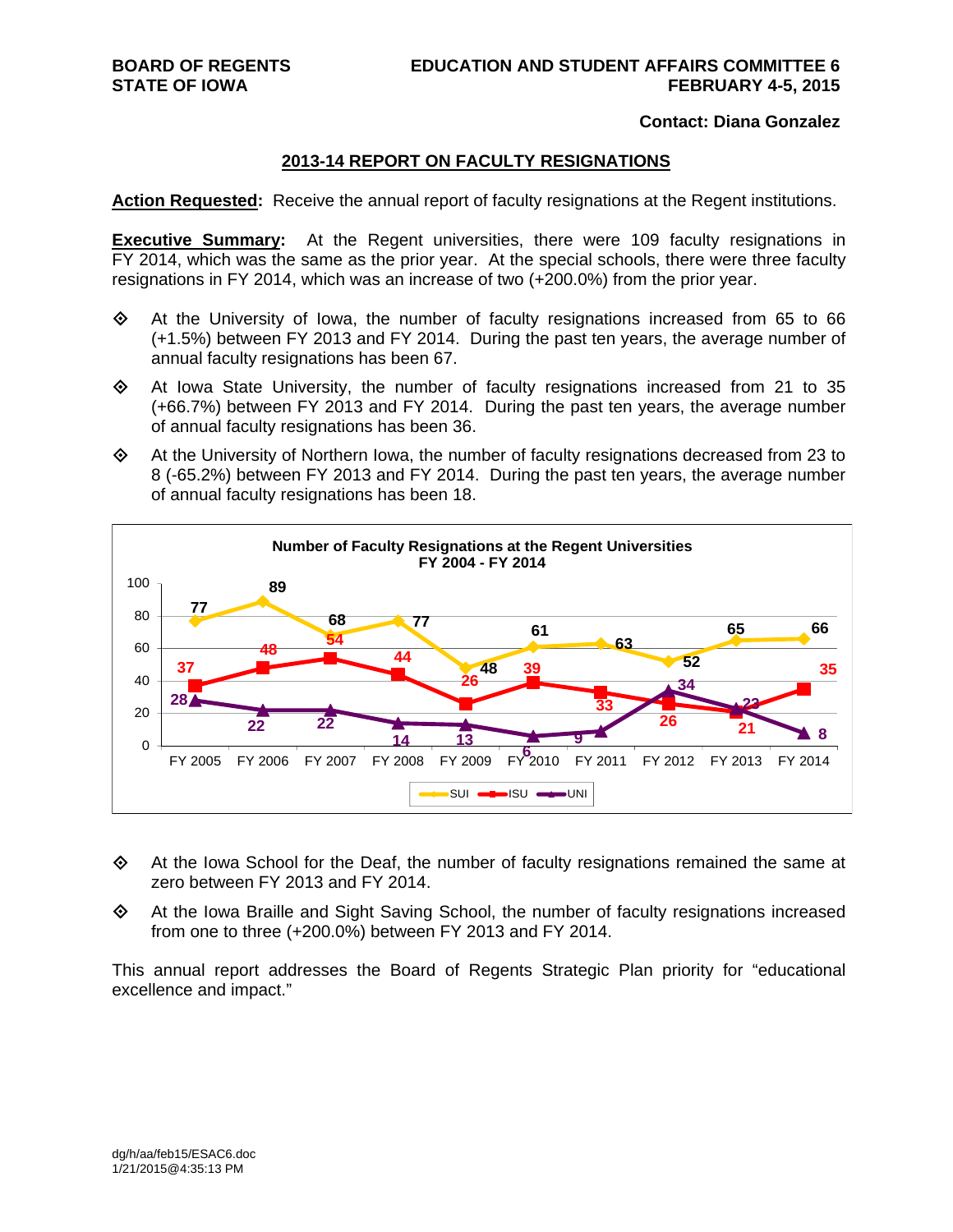#### **Contact: Diana Gonzalez**

#### **2013-14 REPORT ON FACULTY RESIGNATIONS**

**Action Requested:** Receive the annual report of faculty resignations at the Regent institutions.

**Executive Summary:** At the Regent universities, there were 109 faculty resignations in FY 2014, which was the same as the prior year. At the special schools, there were three faculty resignations in FY 2014, which was an increase of two (+200.0%) from the prior year.

- $\Leftrightarrow$  At the University of Iowa, the number of faculty resignations increased from 65 to 66 (+1.5%) between FY 2013 and FY 2014. During the past ten years, the average number of annual faculty resignations has been 67.
- $\Diamond$  At Iowa State University, the number of faculty resignations increased from 21 to 35 (+66.7%) between FY 2013 and FY 2014. During the past ten years, the average number of annual faculty resignations has been 36.
- $\Leftrightarrow$  At the University of Northern Iowa, the number of faculty resignations decreased from 23 to 8 (-65.2%) between FY 2013 and FY 2014. During the past ten years, the average number of annual faculty resignations has been 18.



- At the Iowa School for the Deaf, the number of faculty resignations remained the same at zero between FY 2013 and FY 2014.
- At the Iowa Braille and Sight Saving School, the number of faculty resignations increased from one to three (+200.0%) between FY 2013 and FY 2014.

This annual report addresses the Board of Regents Strategic Plan priority for "educational excellence and impact."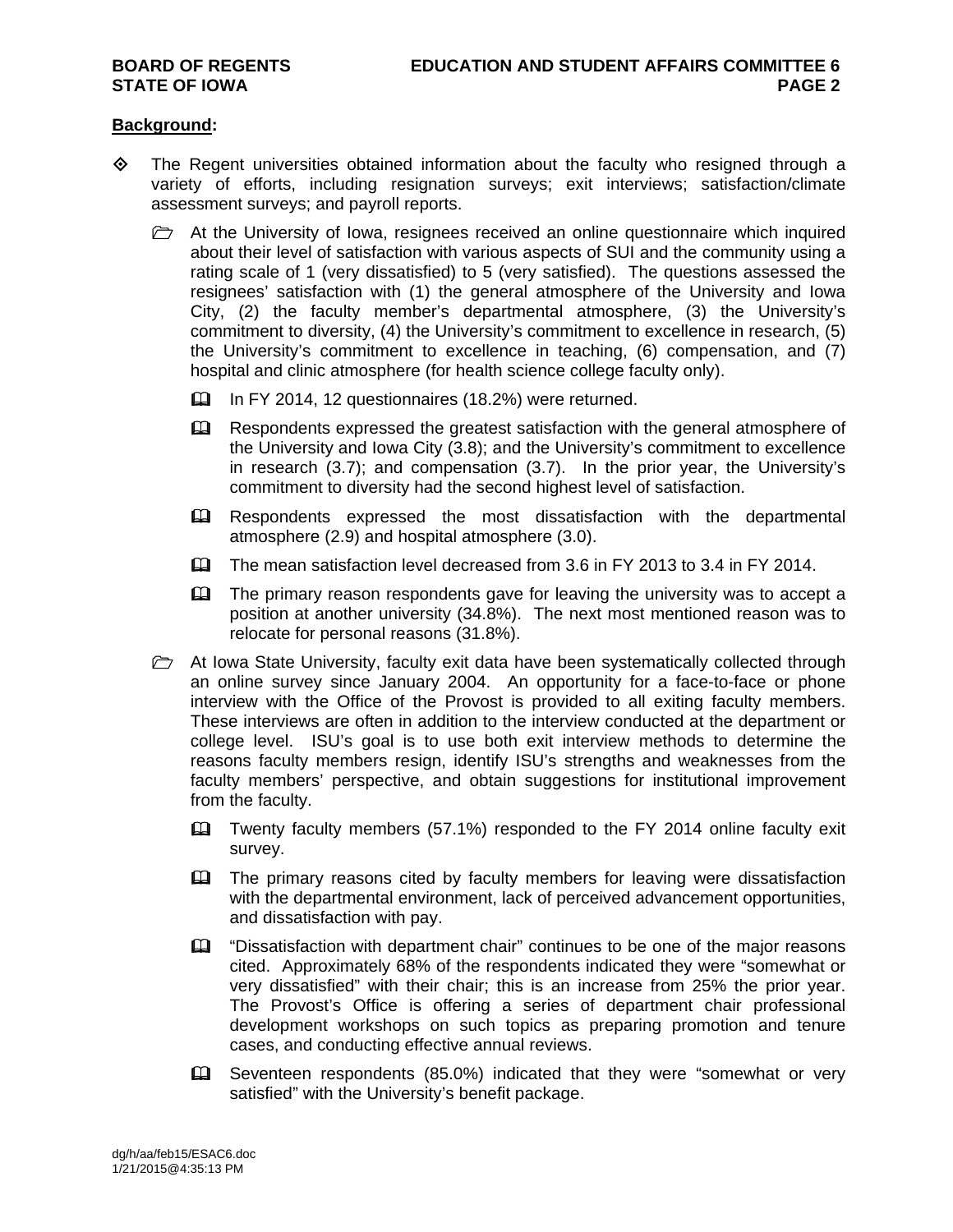#### **Background:**

- $\Diamond$  The Regent universities obtained information about the faculty who resigned through a variety of efforts, including resignation surveys; exit interviews; satisfaction/climate assessment surveys; and payroll reports.
	- $\triangleright$  At the University of Iowa, resignees received an online questionnaire which inquired about their level of satisfaction with various aspects of SUI and the community using a rating scale of 1 (very dissatisfied) to 5 (very satisfied). The questions assessed the resignees' satisfaction with (1) the general atmosphere of the University and Iowa City, (2) the faculty member's departmental atmosphere, (3) the University's commitment to diversity, (4) the University's commitment to excellence in research, (5) the University's commitment to excellence in teaching, (6) compensation, and (7) hospital and clinic atmosphere (for health science college faculty only).
		- In FY 2014, 12 questionnaires (18.2%) were returned.
		- Eu Respondents expressed the greatest satisfaction with the general atmosphere of the University and Iowa City (3.8); and the University's commitment to excellence in research (3.7); and compensation (3.7). In the prior year, the University's commitment to diversity had the second highest level of satisfaction.
		- Respondents expressed the most dissatisfaction with the departmental atmosphere (2.9) and hospital atmosphere (3.0).
		- The mean satisfaction level decreased from 3.6 in FY 2013 to 3.4 in FY 2014.
		- $\mathbf{\Omega}$  The primary reason respondents gave for leaving the university was to accept a position at another university (34.8%). The next most mentioned reason was to relocate for personal reasons (31.8%).
	- $\triangleright$  At Iowa State University, faculty exit data have been systematically collected through an online survey since January 2004. An opportunity for a face-to-face or phone interview with the Office of the Provost is provided to all exiting faculty members. These interviews are often in addition to the interview conducted at the department or college level. ISU's goal is to use both exit interview methods to determine the reasons faculty members resign, identify ISU's strengths and weaknesses from the faculty members' perspective, and obtain suggestions for institutional improvement from the faculty.
		- Twenty faculty members (57.1%) responded to the FY 2014 online faculty exit survey.
		- The primary reasons cited by faculty members for leaving were dissatisfaction with the departmental environment, lack of perceived advancement opportunities, and dissatisfaction with pay.
		- $\mathbf{\Omega}$  "Dissatisfaction with department chair" continues to be one of the major reasons cited. Approximately 68% of the respondents indicated they were "somewhat or very dissatisfied" with their chair; this is an increase from 25% the prior year. The Provost's Office is offering a series of department chair professional development workshops on such topics as preparing promotion and tenure cases, and conducting effective annual reviews.
		- Seventeen respondents (85.0%) indicated that they were "somewhat or very satisfied" with the University's benefit package.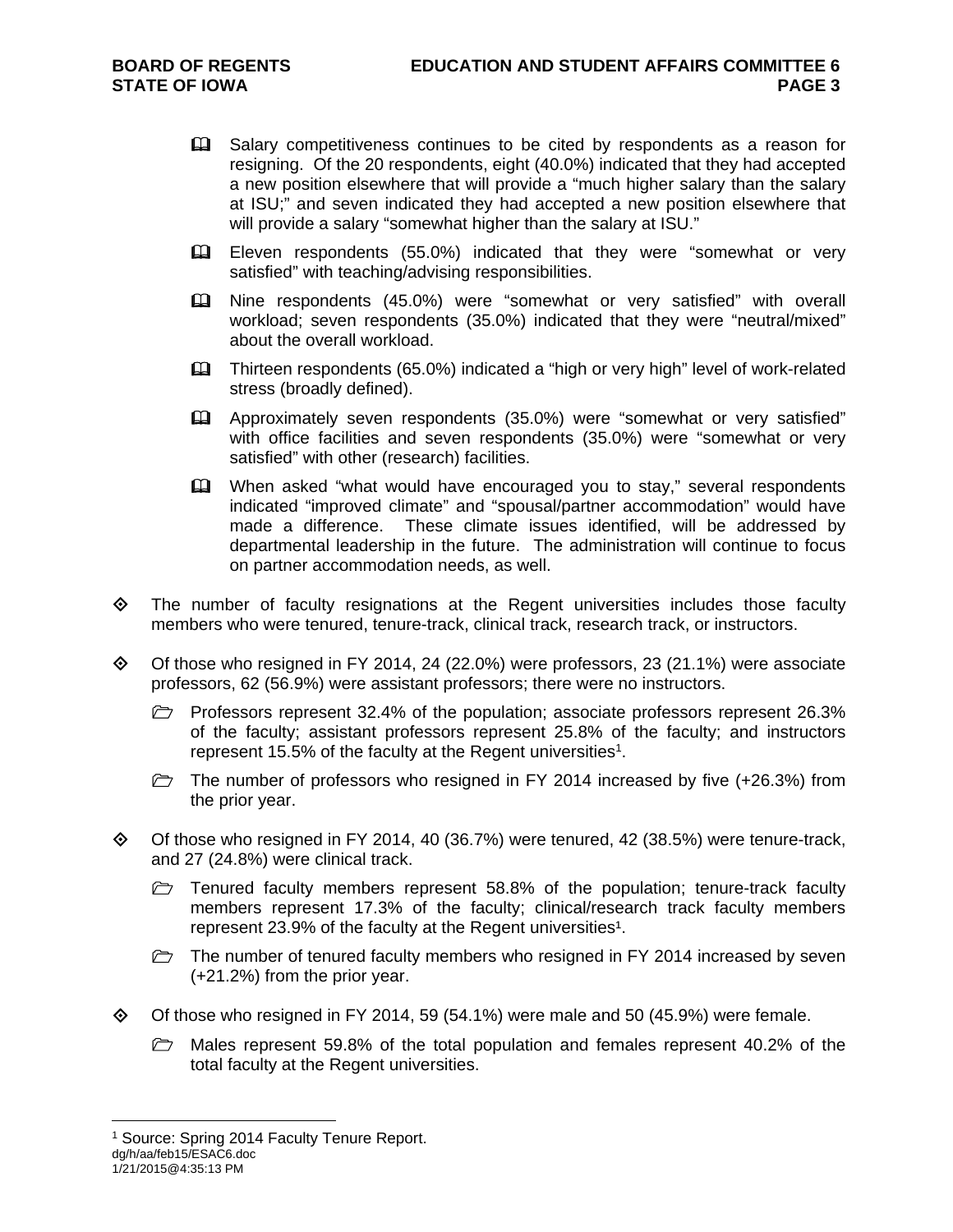- **Example 1** Salary competitiveness continues to be cited by respondents as a reason for resigning. Of the 20 respondents, eight (40.0%) indicated that they had accepted a new position elsewhere that will provide a "much higher salary than the salary at ISU;" and seven indicated they had accepted a new position elsewhere that will provide a salary "somewhat higher than the salary at ISU."
- Eleven respondents (55.0%) indicated that they were "somewhat or very satisfied" with teaching/advising responsibilities.
- Nine respondents (45.0%) were "somewhat or very satisfied" with overall workload; seven respondents (35.0%) indicated that they were "neutral/mixed" about the overall workload.
- Thirteen respondents (65.0%) indicated a "high or very high" level of work-related stress (broadly defined).
- Approximately seven respondents (35.0%) were "somewhat or very satisfied" with office facilities and seven respondents (35.0%) were "somewhat or very satisfied" with other (research) facilities.
- **Example 1** When asked "what would have encouraged you to stay," several respondents indicated "improved climate" and "spousal/partner accommodation" would have made a difference. These climate issues identified, will be addressed by departmental leadership in the future. The administration will continue to focus on partner accommodation needs, as well.
- $\Leftrightarrow$  The number of faculty resignations at the Regent universities includes those faculty members who were tenured, tenure-track, clinical track, research track, or instructors.
- $\Diamond$  Of those who resigned in FY 2014, 24 (22.0%) were professors, 23 (21.1%) were associate professors, 62 (56.9%) were assistant professors; there were no instructors.
	- Professors represent 32.4% of the population; associate professors represent 26.3% of the faculty; assistant professors represent 25.8% of the faculty; and instructors represent 15.5% of the faculty at the Regent universities<sup>1</sup>.
	- $\triangleright$  The number of professors who resigned in FY 2014 increased by five (+26.3%) from the prior year.
- $\diamond$  Of those who resigned in FY 2014, 40 (36.7%) were tenured, 42 (38.5%) were tenure-track, and 27 (24.8%) were clinical track.
	- $\triangleright$  Tenured faculty members represent 58.8% of the population; tenure-track faculty members represent 17.3% of the faculty; clinical/research track faculty members represent 23.9% of the faculty at the Regent universities<sup>1</sup>.
	- $\triangleright$  The number of tenured faculty members who resigned in FY 2014 increased by seven (+21.2%) from the prior year.
- $\diamond$  Of those who resigned in FY 2014, 59 (54.1%) were male and 50 (45.9%) were female.
	- $\triangleright$  Males represent 59.8% of the total population and females represent 40.2% of the total faculty at the Regent universities.

 $\overline{a}$ 

dg/h/aa/feb15/ESAC6.doc <sup>1</sup> Source: Spring 2014 Faculty Tenure Report.

<sup>1/21/2015@4:35:13</sup> PM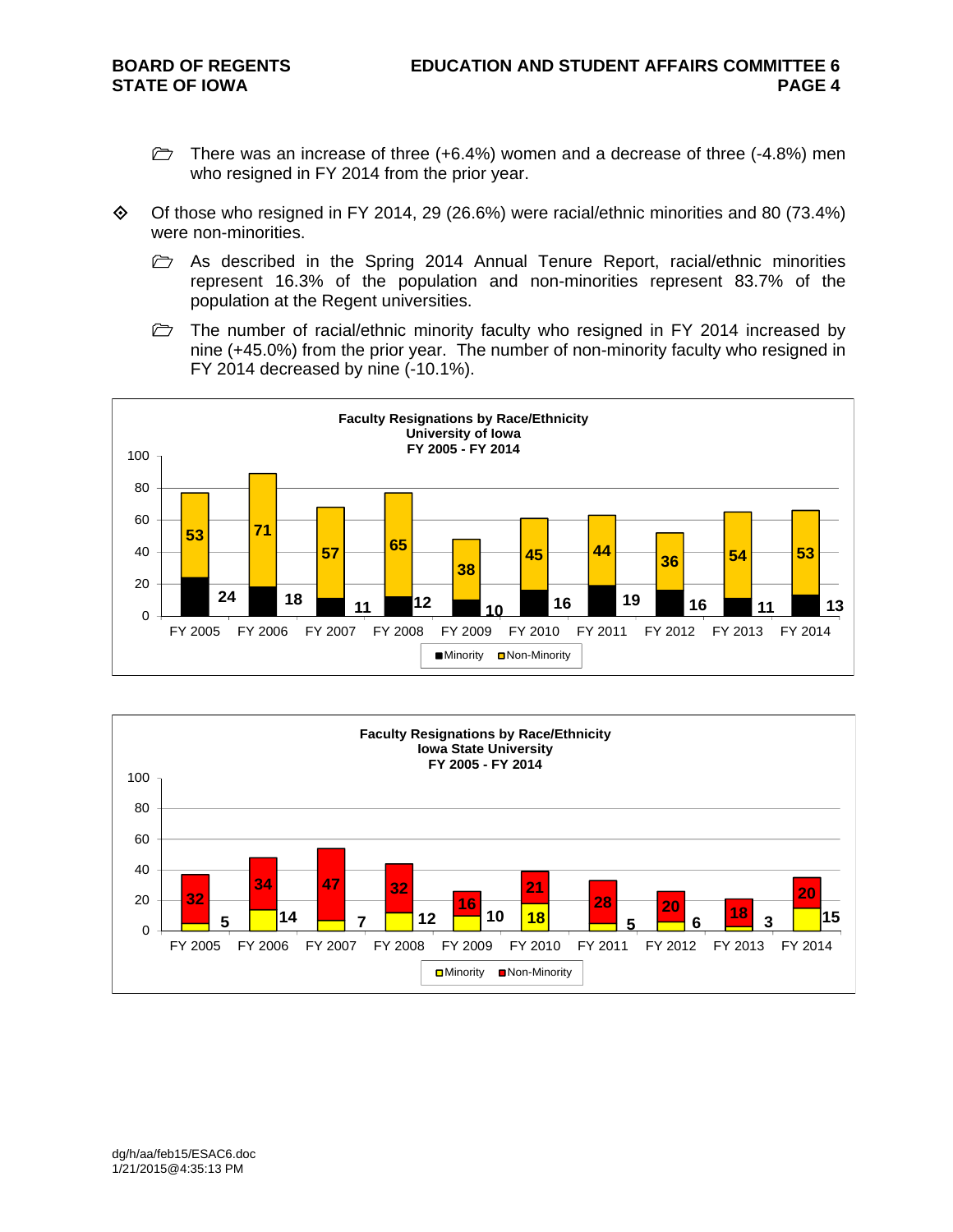- $\triangleright$  There was an increase of three (+6.4%) women and a decrease of three (-4.8%) men who resigned in FY 2014 from the prior year.
- $\Diamond$  Of those who resigned in FY 2014, 29 (26.6%) were racial/ethnic minorities and 80 (73.4%) were non-minorities.
	- $\triangleright$  As described in the Spring 2014 Annual Tenure Report, racial/ethnic minorities represent 16.3% of the population and non-minorities represent 83.7% of the population at the Regent universities.
	- $\triangleright$  The number of racial/ethnic minority faculty who resigned in FY 2014 increased by nine (+45.0%) from the prior year. The number of non-minority faculty who resigned in FY 2014 decreased by nine (-10.1%).



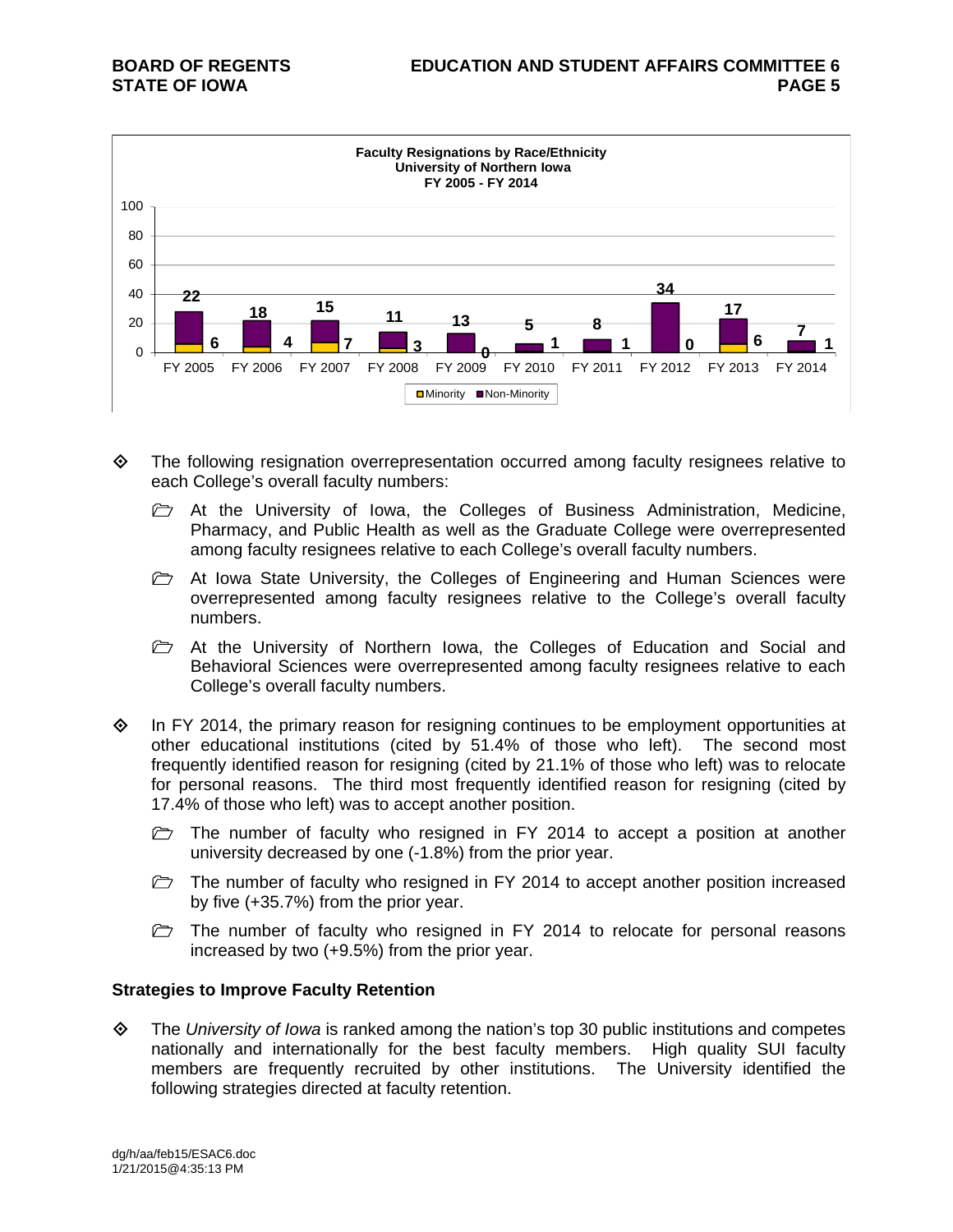

- The following resignation overrepresentation occurred among faculty resignees relative to each College's overall faculty numbers:
	- At the University of Iowa, the Colleges of Business Administration, Medicine, Pharmacy, and Public Health as well as the Graduate College were overrepresented among faculty resignees relative to each College's overall faculty numbers.
	- $\triangleright$  At Iowa State University, the Colleges of Engineering and Human Sciences were overrepresented among faculty resignees relative to the College's overall faculty numbers.
	- $\triangleright$  At the University of Northern Iowa, the Colleges of Education and Social and Behavioral Sciences were overrepresented among faculty resignees relative to each College's overall faculty numbers.
- $\Diamond$  In FY 2014, the primary reason for resigning continues to be employment opportunities at other educational institutions (cited by 51.4% of those who left). The second most frequently identified reason for resigning (cited by 21.1% of those who left) was to relocate for personal reasons. The third most frequently identified reason for resigning (cited by 17.4% of those who left) was to accept another position.
	- $\triangleright$  The number of faculty who resigned in FY 2014 to accept a position at another university decreased by one (-1.8%) from the prior year.
	- $\triangleright$  The number of faculty who resigned in FY 2014 to accept another position increased by five (+35.7%) from the prior year.
	- $\triangleright$  The number of faculty who resigned in FY 2014 to relocate for personal reasons increased by two (+9.5%) from the prior year.

#### **Strategies to Improve Faculty Retention**

 The *University of Iowa* is ranked among the nation's top 30 public institutions and competes nationally and internationally for the best faculty members. High quality SUI faculty members are frequently recruited by other institutions. The University identified the following strategies directed at faculty retention.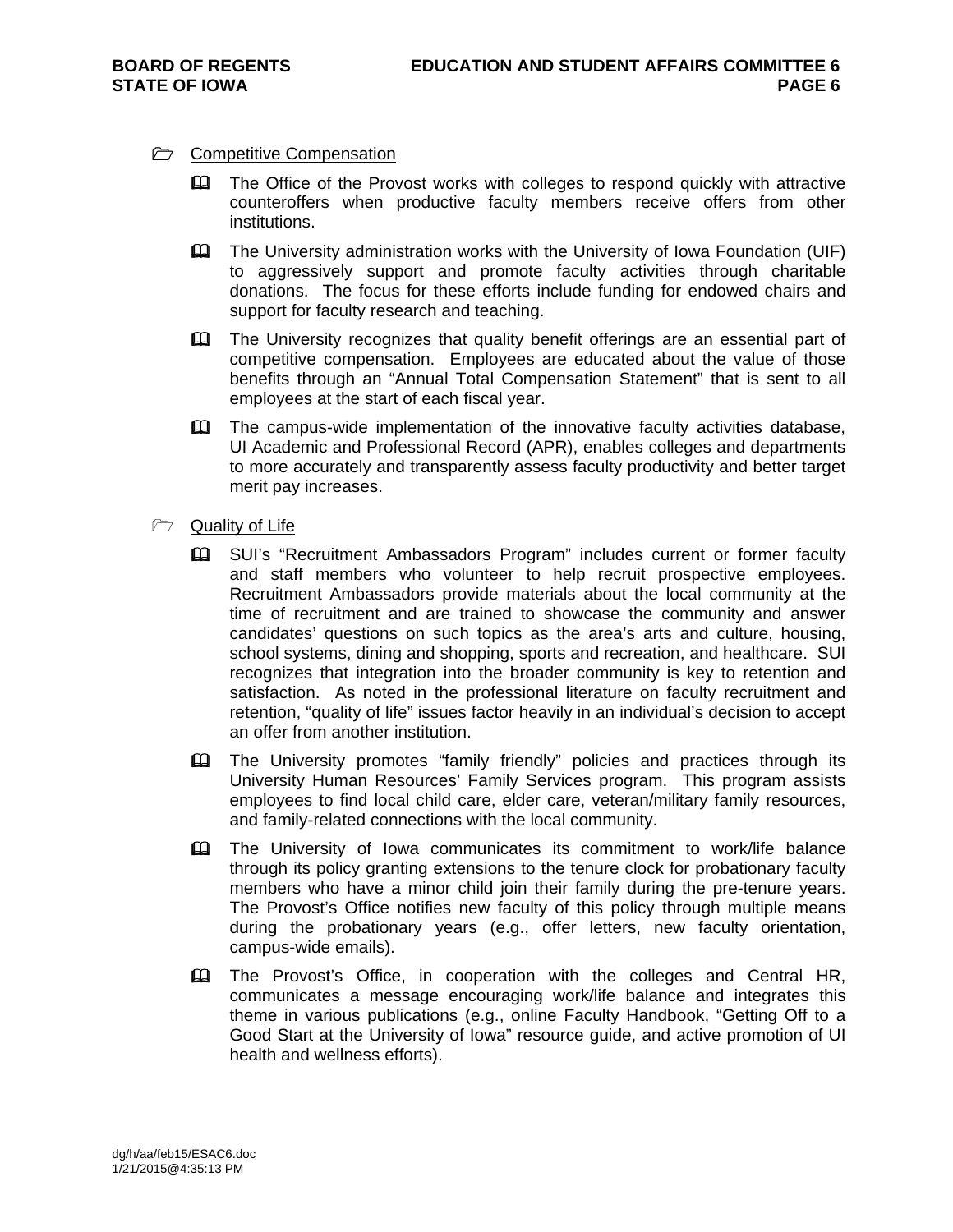#### **C** Competitive Compensation

- The Office of the Provost works with colleges to respond quickly with attractive counteroffers when productive faculty members receive offers from other institutions.
- The University administration works with the University of Iowa Foundation (UIF) to aggressively support and promote faculty activities through charitable donations. The focus for these efforts include funding for endowed chairs and support for faculty research and teaching.
- The University recognizes that quality benefit offerings are an essential part of competitive compensation. Employees are educated about the value of those benefits through an "Annual Total Compensation Statement" that is sent to all employees at the start of each fiscal year.
- The campus-wide implementation of the innovative faculty activities database, UI Academic and Professional Record (APR), enables colleges and departments to more accurately and transparently assess faculty productivity and better target merit pay increases.
- **Quality of Life** 
	- **Example 13 SUI's "Recruitment Ambassadors Program" includes current or former faculty** and staff members who volunteer to help recruit prospective employees. Recruitment Ambassadors provide materials about the local community at the time of recruitment and are trained to showcase the community and answer candidates' questions on such topics as the area's arts and culture, housing, school systems, dining and shopping, sports and recreation, and healthcare. SUI recognizes that integration into the broader community is key to retention and satisfaction. As noted in the professional literature on faculty recruitment and retention, "quality of life" issues factor heavily in an individual's decision to accept an offer from another institution.
	- The University promotes "family friendly" policies and practices through its University Human Resources' Family Services program. This program assists employees to find local child care, elder care, veteran/military family resources, and family-related connections with the local community.
	- The University of Iowa communicates its commitment to work/life balance through its policy granting extensions to the tenure clock for probationary faculty members who have a minor child join their family during the pre-tenure years. The Provost's Office notifies new faculty of this policy through multiple means during the probationary years (e.g., offer letters, new faculty orientation, campus-wide emails).
	- The Provost's Office, in cooperation with the colleges and Central HR, communicates a message encouraging work/life balance and integrates this theme in various publications (e.g., online Faculty Handbook, "Getting Off to a Good Start at the University of Iowa" resource guide, and active promotion of UI health and wellness efforts).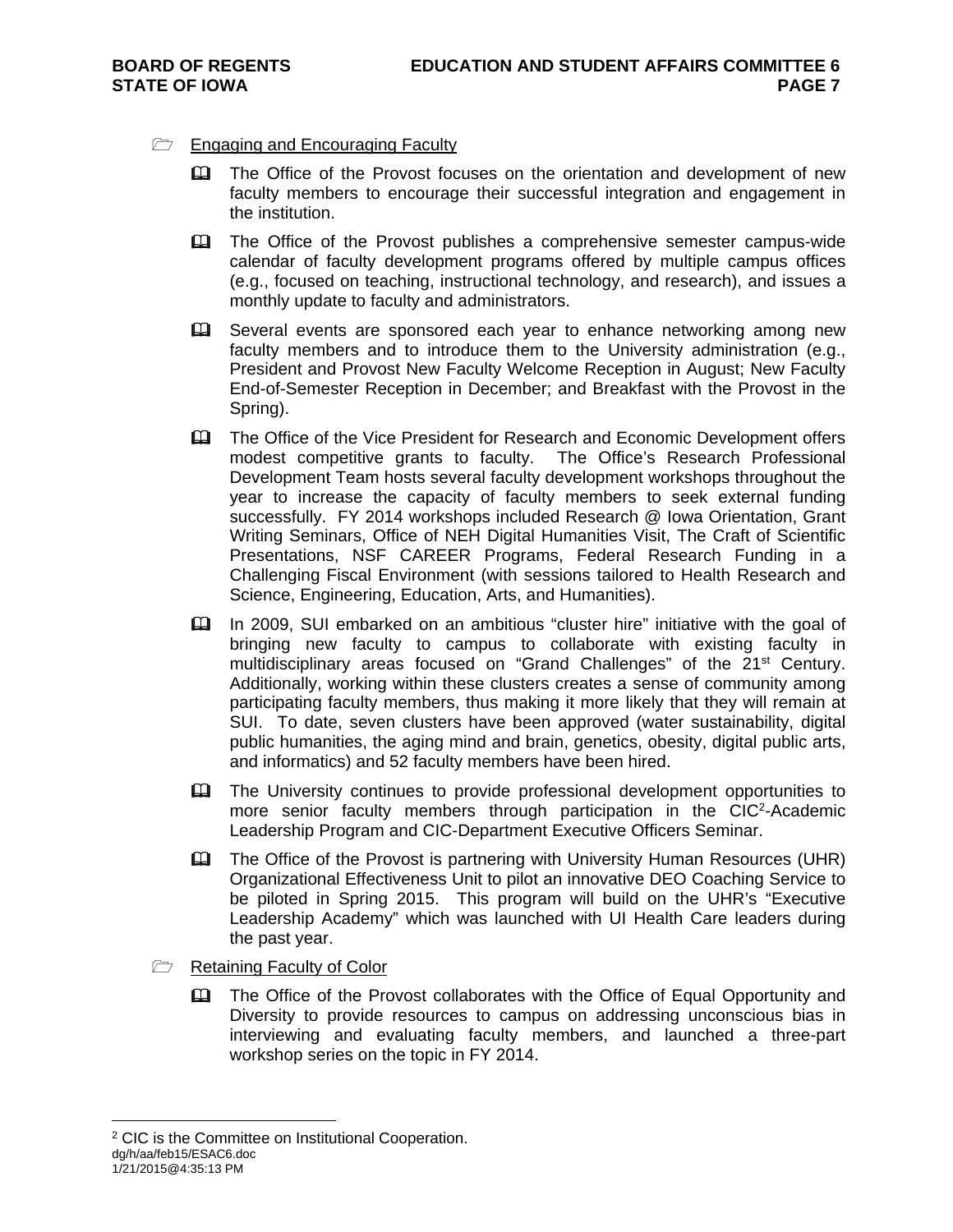### $\Box$  Engaging and Encouraging Faculty

- **Example 2** The Office of the Provost focuses on the orientation and development of new faculty members to encourage their successful integration and engagement in the institution.
- The Office of the Provost publishes a comprehensive semester campus-wide calendar of faculty development programs offered by multiple campus offices (e.g., focused on teaching, instructional technology, and research), and issues a monthly update to faculty and administrators.
- EQ Several events are sponsored each year to enhance networking among new faculty members and to introduce them to the University administration (e.g., President and Provost New Faculty Welcome Reception in August; New Faculty End-of-Semester Reception in December; and Breakfast with the Provost in the Spring).
- The Office of the Vice President for Research and Economic Development offers modest competitive grants to faculty. The Office's Research Professional Development Team hosts several faculty development workshops throughout the year to increase the capacity of faculty members to seek external funding successfully. FY 2014 workshops included Research @ Iowa Orientation, Grant Writing Seminars, Office of NEH Digital Humanities Visit, The Craft of Scientific Presentations, NSF CAREER Programs, Federal Research Funding in a Challenging Fiscal Environment (with sessions tailored to Health Research and Science, Engineering, Education, Arts, and Humanities).
- In 2009, SUI embarked on an ambitious "cluster hire" initiative with the goal of bringing new faculty to campus to collaborate with existing faculty in multidisciplinary areas focused on "Grand Challenges" of the 21<sup>st</sup> Century. Additionally, working within these clusters creates a sense of community among participating faculty members, thus making it more likely that they will remain at SUI. To date, seven clusters have been approved (water sustainability, digital public humanities, the aging mind and brain, genetics, obesity, digital public arts, and informatics) and 52 faculty members have been hired.
- The University continues to provide professional development opportunities to more senior faculty members through participation in the CIC<sup>2</sup>-Academic Leadership Program and CIC-Department Executive Officers Seminar.
- The Office of the Provost is partnering with University Human Resources (UHR) Organizational Effectiveness Unit to pilot an innovative DEO Coaching Service to be piloted in Spring 2015. This program will build on the UHR's "Executive Leadership Academy" which was launched with UI Health Care leaders during the past year.
- Retaining Faculty of Color
	- The Office of the Provost collaborates with the Office of Equal Opportunity and Diversity to provide resources to campus on addressing unconscious bias in interviewing and evaluating faculty members, and launched a three-part workshop series on the topic in FY 2014.

dg/h/aa/feb15/ESAC6.doc  $\overline{a}$ 2 CIC is the Committee on Institutional Cooperation.

<sup>1/21/2015@4:35:13</sup> PM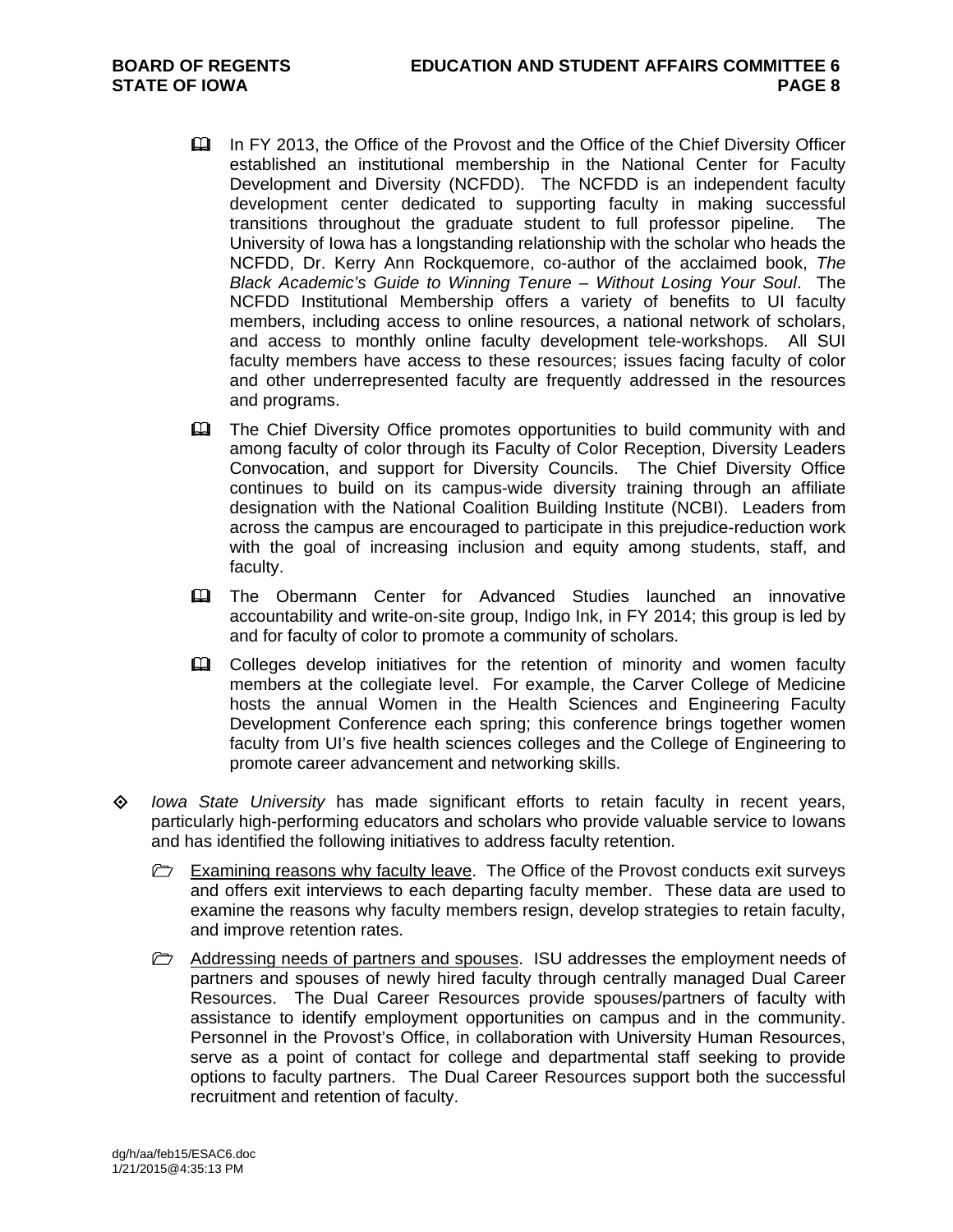- In FY 2013, the Office of the Provost and the Office of the Chief Diversity Officer established an institutional membership in the National Center for Faculty Development and Diversity (NCFDD). The NCFDD is an independent faculty development center dedicated to supporting faculty in making successful transitions throughout the graduate student to full professor pipeline. The University of Iowa has a longstanding relationship with the scholar who heads the NCFDD, Dr. Kerry Ann Rockquemore, co-author of the acclaimed book, *The Black Academic's Guide to Winning Tenure – Without Losing Your Soul*. The NCFDD Institutional Membership offers a variety of benefits to UI faculty members, including access to online resources, a national network of scholars, and access to monthly online faculty development tele-workshops. All SUI faculty members have access to these resources; issues facing faculty of color and other underrepresented faculty are frequently addressed in the resources and programs.
- **Example 2** The Chief Diversity Office promotes opportunities to build community with and among faculty of color through its Faculty of Color Reception, Diversity Leaders Convocation, and support for Diversity Councils. The Chief Diversity Office continues to build on its campus-wide diversity training through an affiliate designation with the National Coalition Building Institute (NCBI). Leaders from across the campus are encouraged to participate in this prejudice-reduction work with the goal of increasing inclusion and equity among students, staff, and faculty.
- The Obermann Center for Advanced Studies launched an innovative accountability and write-on-site group, Indigo Ink, in FY 2014; this group is led by and for faculty of color to promote a community of scholars.
- **EQ Colleges develop initiatives for the retention of minority and women faculty** members at the collegiate level. For example, the Carver College of Medicine hosts the annual Women in the Health Sciences and Engineering Faculty Development Conference each spring; this conference brings together women faculty from UI's five health sciences colleges and the College of Engineering to promote career advancement and networking skills.
- *Iowa State University* has made significant efforts to retain faculty in recent years, particularly high-performing educators and scholars who provide valuable service to Iowans and has identified the following initiatives to address faculty retention.
	- Examining reasons why faculty leave. The Office of the Provost conducts exit surveys and offers exit interviews to each departing faculty member. These data are used to examine the reasons why faculty members resign, develop strategies to retain faculty, and improve retention rates.
	- $\triangleright$  Addressing needs of partners and spouses. ISU addresses the employment needs of partners and spouses of newly hired faculty through centrally managed Dual Career Resources. The Dual Career Resources provide spouses/partners of faculty with assistance to identify employment opportunities on campus and in the community. Personnel in the Provost's Office, in collaboration with University Human Resources, serve as a point of contact for college and departmental staff seeking to provide options to faculty partners. The Dual Career Resources support both the successful recruitment and retention of faculty.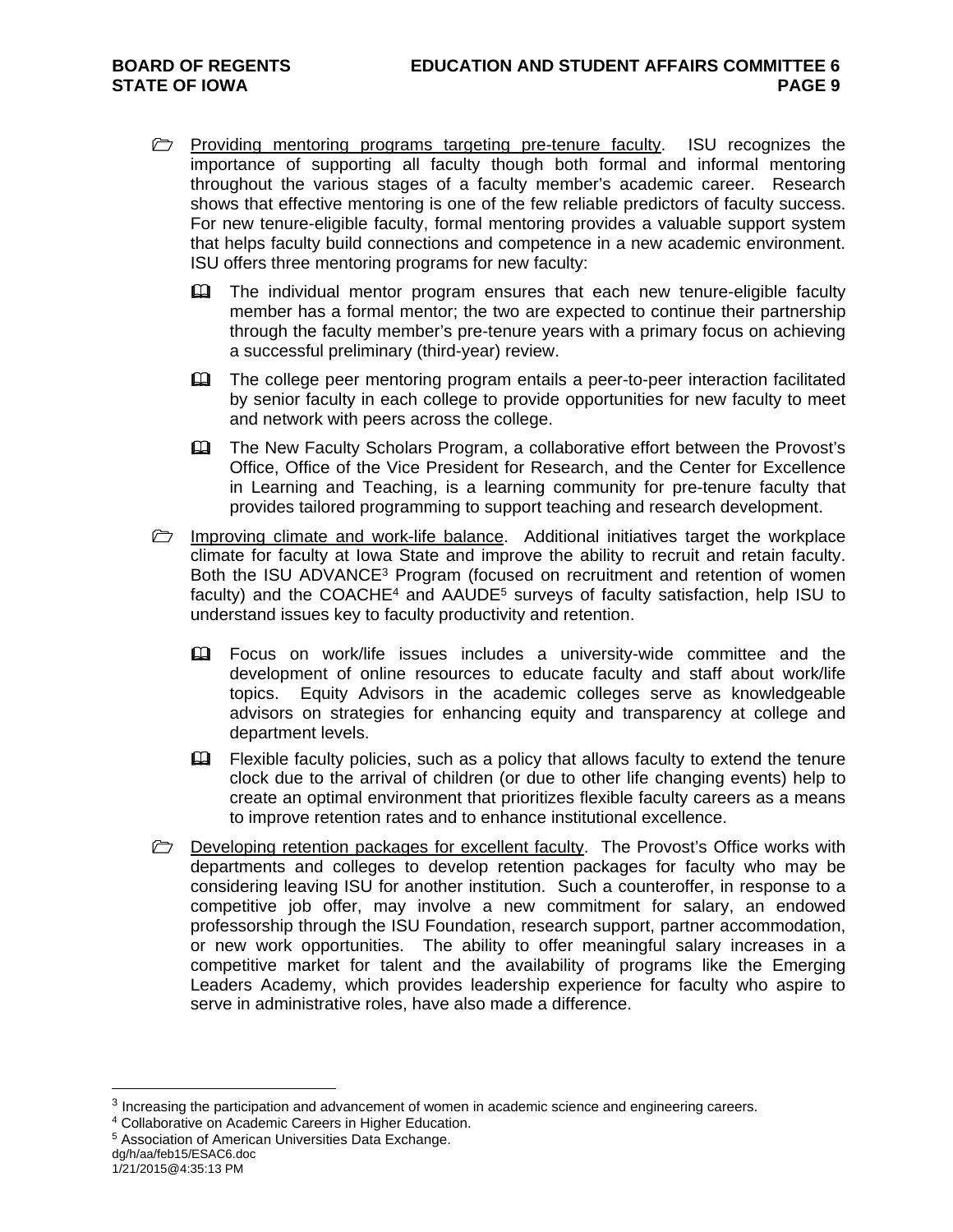- **Providing mentoring programs targeting pre-tenure faculty.** ISU recognizes the importance of supporting all faculty though both formal and informal mentoring throughout the various stages of a faculty member's academic career. Research shows that effective mentoring is one of the few reliable predictors of faculty success. For new tenure-eligible faculty, formal mentoring provides a valuable support system that helps faculty build connections and competence in a new academic environment. ISU offers three mentoring programs for new faculty:
	- **Example 1** The individual mentor program ensures that each new tenure-eligible faculty member has a formal mentor; the two are expected to continue their partnership through the faculty member's pre-tenure years with a primary focus on achieving a successful preliminary (third-year) review.
	- The college peer mentoring program entails a peer-to-peer interaction facilitated by senior faculty in each college to provide opportunities for new faculty to meet and network with peers across the college.
	- The New Faculty Scholars Program, a collaborative effort between the Provost's Office, Office of the Vice President for Research, and the Center for Excellence in Learning and Teaching, is a learning community for pre-tenure faculty that provides tailored programming to support teaching and research development.
- $\triangleright$  Improving climate and work-life balance. Additional initiatives target the workplace climate for faculty at Iowa State and improve the ability to recruit and retain faculty. Both the ISU ADVANCE<sup>3</sup> Program (focused on recruitment and retention of women faculty) and the COACHE<sup>4</sup> and AAUDE<sup>5</sup> surveys of faculty satisfaction, help ISU to understand issues key to faculty productivity and retention.
	- Focus on work/life issues includes a university-wide committee and the development of online resources to educate faculty and staff about work/life topics. Equity Advisors in the academic colleges serve as knowledgeable advisors on strategies for enhancing equity and transparency at college and department levels.
	- **Example faculty policies, such as a policy that allows faculty to extend the tenure** clock due to the arrival of children (or due to other life changing events) help to create an optimal environment that prioritizes flexible faculty careers as a means to improve retention rates and to enhance institutional excellence.
- **Developing retention packages for excellent faculty.** The Provost's Office works with departments and colleges to develop retention packages for faculty who may be considering leaving ISU for another institution. Such a counteroffer, in response to a competitive job offer, may involve a new commitment for salary, an endowed professorship through the ISU Foundation, research support, partner accommodation, or new work opportunities. The ability to offer meaningful salary increases in a competitive market for talent and the availability of programs like the Emerging Leaders Academy, which provides leadership experience for faculty who aspire to serve in administrative roles, have also made a difference.

dg/h/aa/feb15/ESAC6.doc

 $\overline{a}$ 

<sup>&</sup>lt;sup>3</sup> Increasing the participation and advancement of women in academic science and engineering careers.  $4$  Collaborative on Academic Careers in Higher Education.  $5$  Association of American Universities Data Exchange.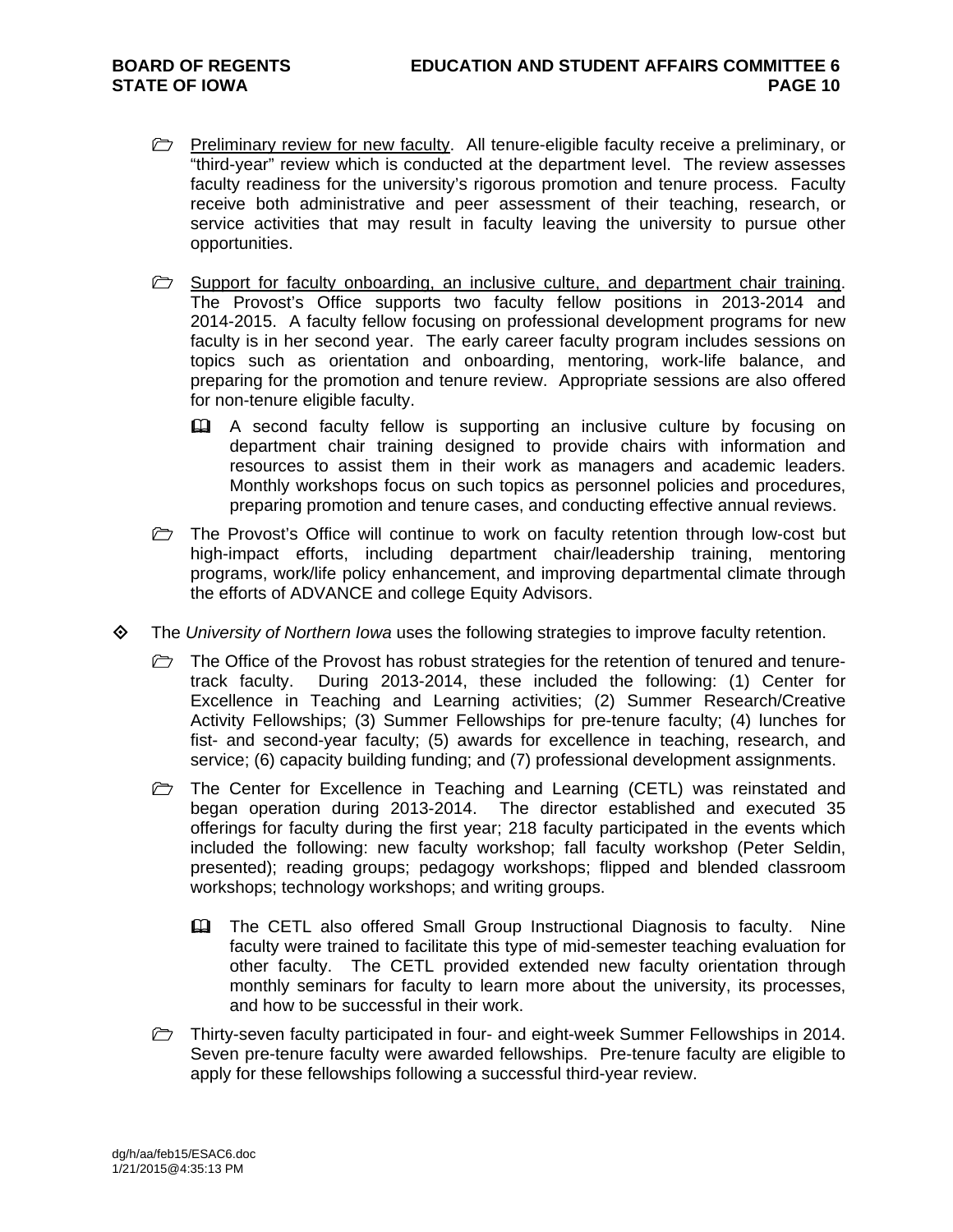- **Preliminary review for new faculty.** All tenure-eligible faculty receive a preliminary, or "third-year" review which is conducted at the department level. The review assesses faculty readiness for the university's rigorous promotion and tenure process. Faculty receive both administrative and peer assessment of their teaching, research, or service activities that may result in faculty leaving the university to pursue other opportunities.
- $\triangleright$  Support for faculty onboarding, an inclusive culture, and department chair training. The Provost's Office supports two faculty fellow positions in 2013-2014 and 2014-2015. A faculty fellow focusing on professional development programs for new faculty is in her second year. The early career faculty program includes sessions on topics such as orientation and onboarding, mentoring, work-life balance, and preparing for the promotion and tenure review. Appropriate sessions are also offered for non-tenure eligible faculty.
	- A second faculty fellow is supporting an inclusive culture by focusing on department chair training designed to provide chairs with information and resources to assist them in their work as managers and academic leaders. Monthly workshops focus on such topics as personnel policies and procedures, preparing promotion and tenure cases, and conducting effective annual reviews.
- $\triangleright$  The Provost's Office will continue to work on faculty retention through low-cost but high-impact efforts, including department chair/leadership training, mentoring programs, work/life policy enhancement, and improving departmental climate through the efforts of ADVANCE and college Equity Advisors.
- The *University of Northern Iowa* uses the following strategies to improve faculty retention.
	- $\triangleright$  The Office of the Provost has robust strategies for the retention of tenured and tenuretrack faculty. During 2013-2014, these included the following: (1) Center for Excellence in Teaching and Learning activities; (2) Summer Research/Creative Activity Fellowships; (3) Summer Fellowships for pre-tenure faculty; (4) lunches for fist- and second-year faculty; (5) awards for excellence in teaching, research, and service; (6) capacity building funding; and (7) professional development assignments.
	- The Center for Excellence in Teaching and Learning (CETL) was reinstated and began operation during 2013-2014. The director established and executed 35 offerings for faculty during the first year; 218 faculty participated in the events which included the following: new faculty workshop; fall faculty workshop (Peter Seldin, presented); reading groups; pedagogy workshops; flipped and blended classroom workshops; technology workshops; and writing groups.
		- The CETL also offered Small Group Instructional Diagnosis to faculty. Nine faculty were trained to facilitate this type of mid-semester teaching evaluation for other faculty. The CETL provided extended new faculty orientation through monthly seminars for faculty to learn more about the university, its processes, and how to be successful in their work.
	- Thirty-seven faculty participated in four- and eight-week Summer Fellowships in 2014. Seven pre-tenure faculty were awarded fellowships. Pre-tenure faculty are eligible to apply for these fellowships following a successful third-year review.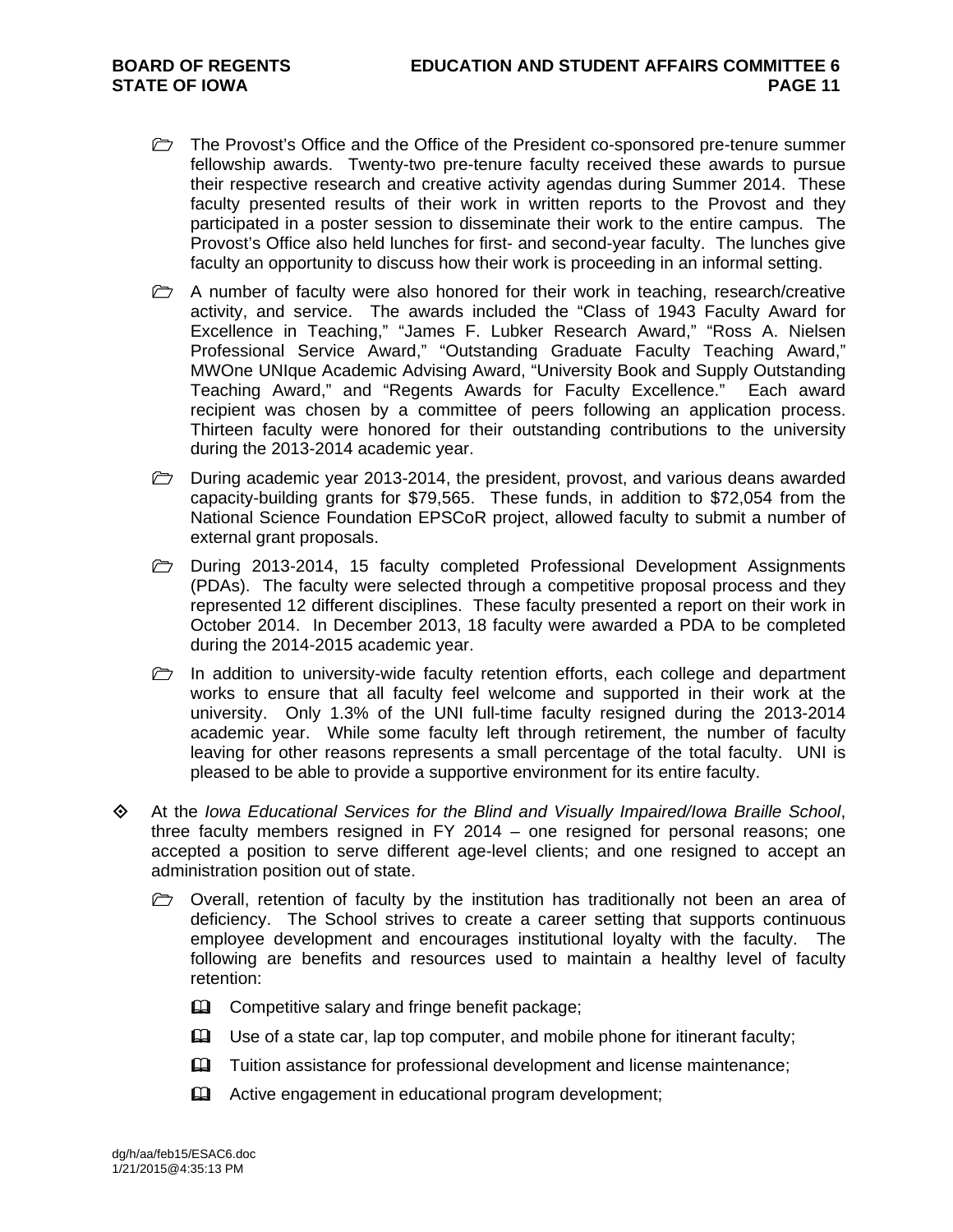- The Provost's Office and the Office of the President co-sponsored pre-tenure summer fellowship awards. Twenty-two pre-tenure faculty received these awards to pursue their respective research and creative activity agendas during Summer 2014. These faculty presented results of their work in written reports to the Provost and they participated in a poster session to disseminate their work to the entire campus. The Provost's Office also held lunches for first- and second-year faculty. The lunches give faculty an opportunity to discuss how their work is proceeding in an informal setting.
- $\triangleright$  A number of faculty were also honored for their work in teaching, research/creative activity, and service. The awards included the "Class of 1943 Faculty Award for Excellence in Teaching," "James F. Lubker Research Award," "Ross A. Nielsen Professional Service Award," "Outstanding Graduate Faculty Teaching Award," MWOne UNIque Academic Advising Award, "University Book and Supply Outstanding Teaching Award," and "Regents Awards for Faculty Excellence." Each award recipient was chosen by a committee of peers following an application process. Thirteen faculty were honored for their outstanding contributions to the university during the 2013-2014 academic year.
- $\Box$  During academic year 2013-2014, the president, provost, and various deans awarded capacity-building grants for \$79,565. These funds, in addition to \$72,054 from the National Science Foundation EPSCoR project, allowed faculty to submit a number of external grant proposals.
- **D** During 2013-2014, 15 faculty completed Professional Development Assignments (PDAs). The faculty were selected through a competitive proposal process and they represented 12 different disciplines. These faculty presented a report on their work in October 2014. In December 2013, 18 faculty were awarded a PDA to be completed during the 2014-2015 academic year.
- In addition to university-wide faculty retention efforts, each college and department works to ensure that all faculty feel welcome and supported in their work at the university. Only 1.3% of the UNI full-time faculty resigned during the 2013-2014 academic year. While some faculty left through retirement, the number of faculty leaving for other reasons represents a small percentage of the total faculty. UNI is pleased to be able to provide a supportive environment for its entire faculty.
- At the *Iowa Educational Services for the Blind and Visually Impaired/Iowa Braille School*, three faculty members resigned in FY 2014 – one resigned for personal reasons; one accepted a position to serve different age-level clients; and one resigned to accept an administration position out of state.
	- $\triangleright$  Overall, retention of faculty by the institution has traditionally not been an area of deficiency. The School strives to create a career setting that supports continuous employee development and encourages institutional loyalty with the faculty. The following are benefits and resources used to maintain a healthy level of faculty retention:
		- **EQ** Competitive salary and fringe benefit package;
		- $\Box$  Use of a state car, lap top computer, and mobile phone for itinerant faculty;
		- **Example 2** Tuition assistance for professional development and license maintenance;
		- **Example 2** Active engagement in educational program development;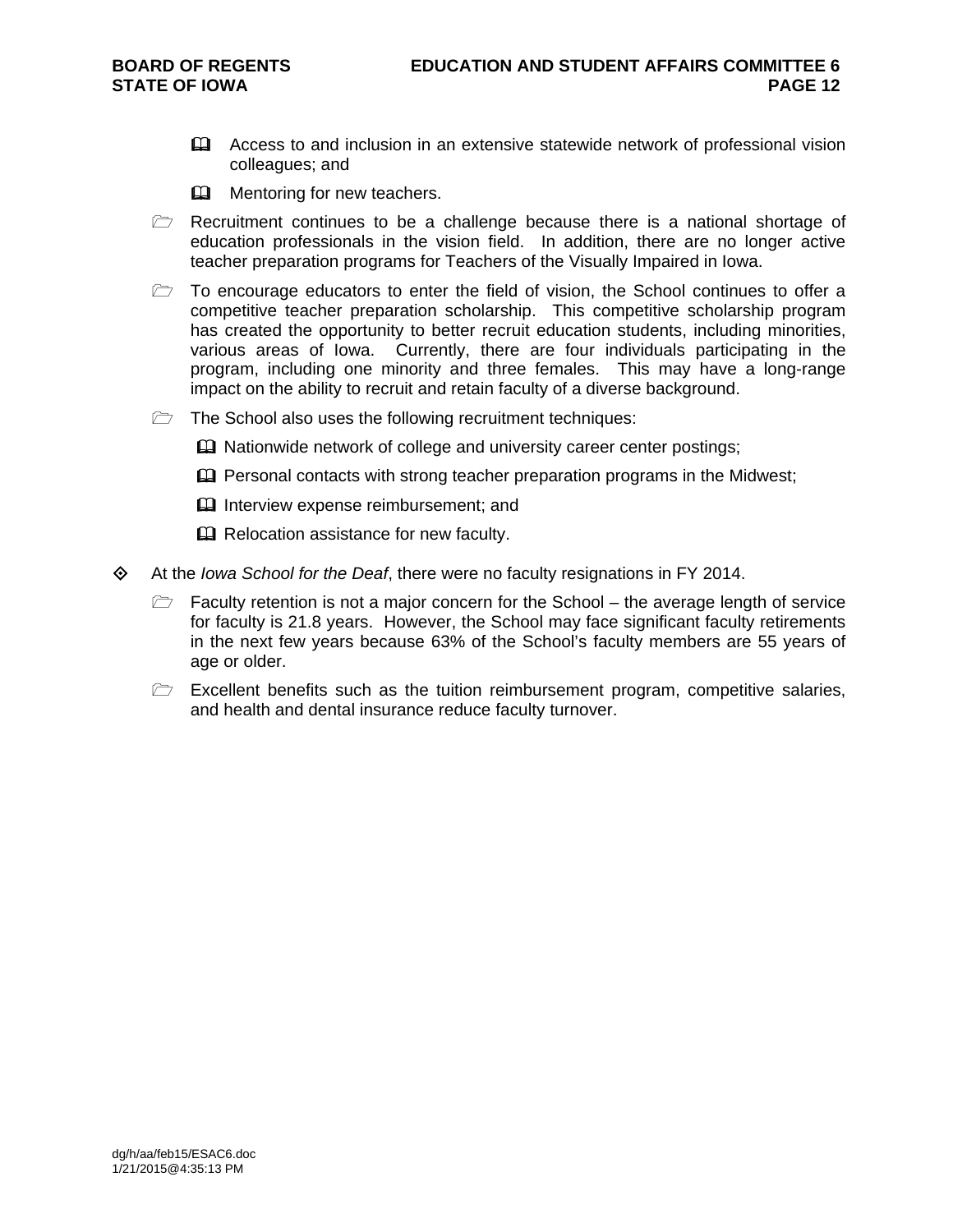- Access to and inclusion in an extensive statewide network of professional vision colleagues; and
- **Mentoring for new teachers.**
- $\triangleright$  Recruitment continues to be a challenge because there is a national shortage of education professionals in the vision field. In addition, there are no longer active teacher preparation programs for Teachers of the Visually Impaired in Iowa.
- $\triangleright$  To encourage educators to enter the field of vision, the School continues to offer a competitive teacher preparation scholarship. This competitive scholarship program has created the opportunity to better recruit education students, including minorities, various areas of Iowa. Currently, there are four individuals participating in the program, including one minority and three females. This may have a long-range impact on the ability to recruit and retain faculty of a diverse background.
- $\Box$  The School also uses the following recruitment techniques:
	- **Example 3** Nationwide network of college and university career center postings;
	- $\mathbf{\Omega}$  Personal contacts with strong teacher preparation programs in the Midwest;
	- **Interview expense reimbursement; and**
	- **Q** Relocation assistance for new faculty.
- At the *Iowa School for the Deaf*, there were no faculty resignations in FY 2014.
	- $\triangleright$  Faculty retention is not a major concern for the School the average length of service for faculty is 21.8 years. However, the School may face significant faculty retirements in the next few years because 63% of the School's faculty members are 55 years of age or older.
	- $\triangleright$  Excellent benefits such as the tuition reimbursement program, competitive salaries, and health and dental insurance reduce faculty turnover.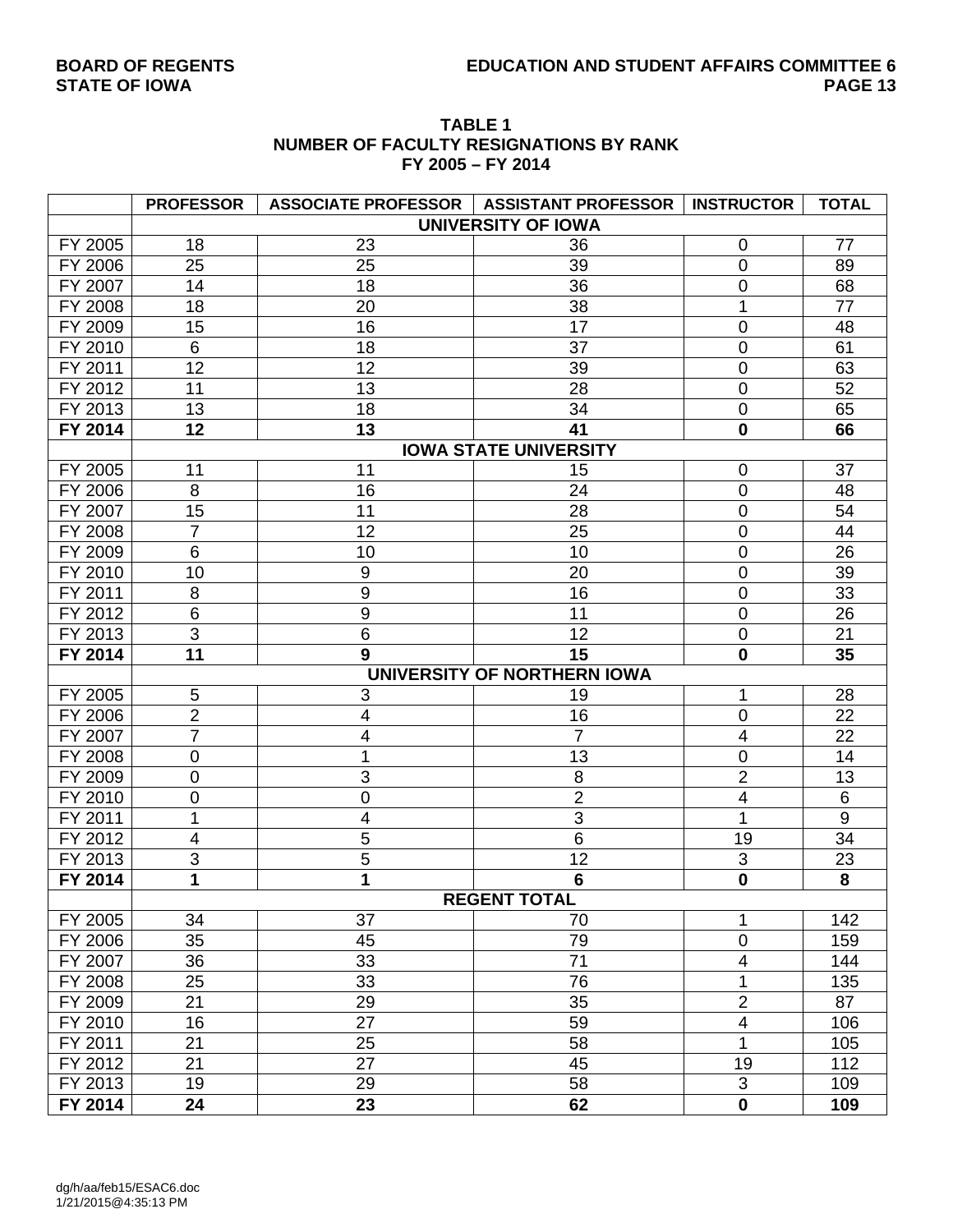# **BOARD OF REGENTS EDUCATION AND STUDENT AFFAIRS COMMITTEE 6**

| <b>TABLE 1</b>                         |
|----------------------------------------|
| NUMBER OF FACULTY RESIGNATIONS BY RANK |
| FY 2005 - FY 2014                      |

|         | <b>PROFESSOR</b> | ASSOCIATE PROFESSOR   ASSISTANT PROFESSOR |                              | <b>INSTRUCTOR</b>       | <b>TOTAL</b> |
|---------|------------------|-------------------------------------------|------------------------------|-------------------------|--------------|
|         |                  |                                           | <b>UNIVERSITY OF IOWA</b>    |                         |              |
| FY 2005 | 18               | 23                                        | 36                           | 0                       | 77           |
| FY 2006 | 25               | 25                                        | 39                           | $\mathbf 0$             | 89           |
| FY 2007 | 14               | 18                                        | 36                           | $\overline{0}$          | 68           |
| FY 2008 | 18               | 20                                        | 38                           | 1                       | 77           |
| FY 2009 | 15               | 16                                        | 17                           | 0                       | 48           |
| FY 2010 | 6                | 18                                        | 37                           | $\mathbf 0$             | 61           |
| FY 2011 | 12               | 12                                        | 39                           | $\mathbf 0$             | 63           |
| FY 2012 | 11               | 13                                        | 28                           | $\mathbf 0$             | 52           |
| FY 2013 | 13               | 18                                        | 34                           | $\mathbf 0$             | 65           |
| FY 2014 | 12               | 13                                        | 41                           | $\mathbf 0$             | 66           |
|         |                  |                                           | <b>IOWA STATE UNIVERSITY</b> |                         |              |
| FY 2005 | 11               | 11                                        | 15                           | $\mathbf 0$             | 37           |
| FY 2006 | 8                | 16                                        | 24                           | $\pmb{0}$               | 48           |
| FY 2007 | 15               | 11                                        | 28                           | $\mathbf 0$             | 54           |
| FY 2008 | $\overline{7}$   | 12                                        | 25                           | $\mathbf 0$             | 44           |
| FY 2009 | 6                | 10                                        | 10                           | $\mathbf 0$             | 26           |
| FY 2010 | 10               | $\boldsymbol{9}$                          | 20                           | $\mathbf 0$             | 39           |
| FY 2011 | 8                | $\boldsymbol{9}$                          | 16                           | $\mathbf 0$             | 33           |
| FY 2012 | 6                | $\overline{9}$                            | 11                           | $\overline{0}$          | 26           |
| FY 2013 | 3                | $\,6$                                     | 12                           | $\boldsymbol{0}$        | 21           |
| FY 2014 | 11               | 9                                         | 15                           | $\mathbf 0$             | 35           |
|         |                  |                                           | UNIVERSITY OF NORTHERN IOWA  |                         |              |
| FY 2005 | 5                | 3                                         | 19                           | 1                       | 28           |
| FY 2006 | $\overline{2}$   | $\overline{4}$                            | 16                           | $\mathbf 0$             | 22           |
| FY 2007 | $\overline{7}$   | 4                                         | $\overline{7}$               | 4                       | 22           |
| FY 2008 | $\pmb{0}$        | 1                                         | 13                           | $\mathbf 0$             | 14           |
| FY 2009 | $\pmb{0}$        | $\ensuremath{\mathsf{3}}$                 | 8                            | $\overline{2}$          | 13           |
| FY 2010 | $\mathbf 0$      | $\overline{0}$                            | $\overline{2}$               | $\overline{4}$          | 6            |
| FY 2011 | 1                | $\overline{\mathbf{4}}$                   | 3                            | 1                       | 9            |
| FY 2012 | $\overline{4}$   | $\overline{5}$                            | 6                            | 19                      | 34           |
| FY 2013 | 3                | 5                                         | 12                           | $\sqrt{3}$              | 23           |
| FY 2014 | 1                | 1                                         | $6\phantom{a}$               | $\mathbf 0$             | 8            |
|         |                  |                                           | <b>REGENT TOTAL</b>          |                         |              |
| FY 2005 | 34               | 37                                        | 70                           | 1                       | 142          |
| FY 2006 | 35               | 45                                        | 79                           | $\boldsymbol{0}$        | 159          |
| FY 2007 | 36               | 33                                        | 71                           | $\overline{\mathbf{4}}$ | 144          |
| FY 2008 | 25               | 33                                        | 76                           | 1                       | 135          |
| FY 2009 | 21               | 29                                        | 35                           | $\overline{2}$          | 87           |
| FY 2010 | 16               | 27                                        | 59                           | 4                       | 106          |
| FY 2011 | 21               | 25                                        | 58                           | 1                       | 105          |
| FY 2012 | 21               | 27                                        | 45                           | 19                      | 112          |
| FY 2013 | 19               | 29                                        | 58                           | $\mathsf 3$             | 109          |
| FY 2014 | 24               | 23                                        | 62                           | $\overline{\mathbf{0}}$ | 109          |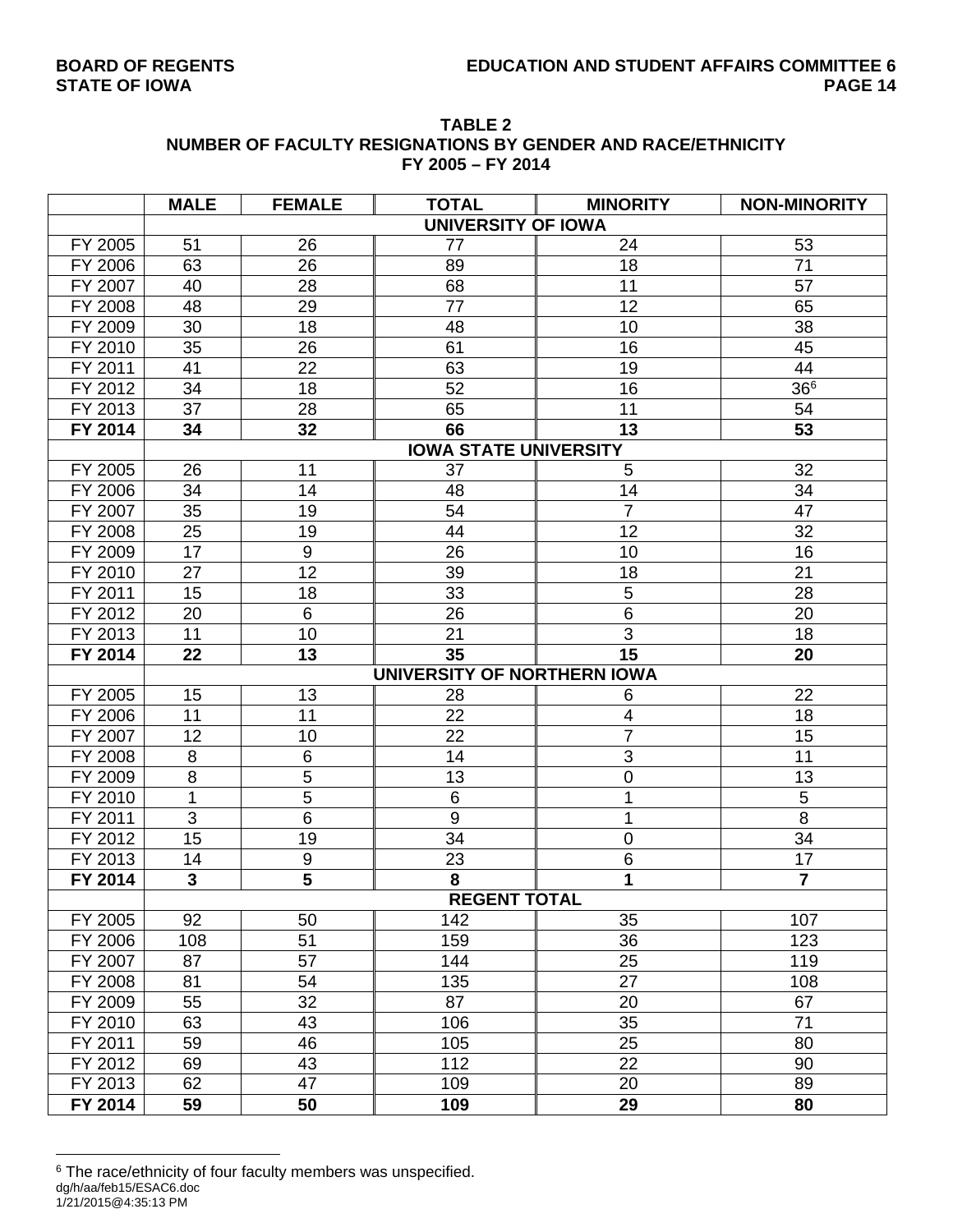|                      | FY 2005 - FY 2014 |                  |                              |                 |                     |  |  |  |  |  |  |  |
|----------------------|-------------------|------------------|------------------------------|-----------------|---------------------|--|--|--|--|--|--|--|
|                      | <b>MALE</b>       | <b>FEMALE</b>    | <b>TOTAL</b>                 | <b>MINORITY</b> | <b>NON-MINORITY</b> |  |  |  |  |  |  |  |
|                      |                   |                  | <b>UNIVERSITY OF IOWA</b>    |                 |                     |  |  |  |  |  |  |  |
| FY 2005              | 51                | 26               | 77                           | 24              | 53                  |  |  |  |  |  |  |  |
| FY 2006              | 63                | 26               | 89                           | 18              | 71                  |  |  |  |  |  |  |  |
| FY 2007              | 40                | 28               | 68                           | 11              | 57                  |  |  |  |  |  |  |  |
| FY 2008              | 48                | 29               | 77                           | 12              | 65                  |  |  |  |  |  |  |  |
| FY 2009              | 30                | 18               | 48                           | 10              | 38                  |  |  |  |  |  |  |  |
| FY 2010              | 35                | 26               | 61                           | 16              | 45                  |  |  |  |  |  |  |  |
| FY 2011              | 41                | 22               | 63                           | 19              | 44                  |  |  |  |  |  |  |  |
| FY 2012              | 34                | 18               | 52                           | 16              | 366                 |  |  |  |  |  |  |  |
| FY 2013              | 37                | 28               | 65                           | 11              | 54                  |  |  |  |  |  |  |  |
| FY 2014              | 34                | 32               | 66                           | 13              | 53                  |  |  |  |  |  |  |  |
|                      |                   |                  | <b>IOWA STATE UNIVERSITY</b> |                 |                     |  |  |  |  |  |  |  |
| $\overline{FY}$ 2005 | 26                | 11               | 37                           | 5               | 32                  |  |  |  |  |  |  |  |
| FY 2006              | 34                | 14               | 48                           | 14              | 34                  |  |  |  |  |  |  |  |
| FY 2007              | 35                | 19               | 54                           | $\overline{7}$  | 47                  |  |  |  |  |  |  |  |
| FY 2008              | 25                | 19               | 44                           | 12              | 32                  |  |  |  |  |  |  |  |
| FY 2009              | 17                | $\boldsymbol{9}$ | 26                           | 10              | 16                  |  |  |  |  |  |  |  |
| FY 2010              | 27                | 12               | 39                           | 18              | 21                  |  |  |  |  |  |  |  |
| FY 2011              | 15                | 18               | 33                           | 5               | 28                  |  |  |  |  |  |  |  |
| FY 2012              | 20                | 6                | 26                           | 6               | 20                  |  |  |  |  |  |  |  |
| FY 2013              | 11                | 10               | 21                           | $\overline{3}$  | 18                  |  |  |  |  |  |  |  |
| FY 2014              | 22                | 13               | 35                           | 15              | 20                  |  |  |  |  |  |  |  |
|                      |                   |                  | UNIVERSITY OF NORTHERN IOWA  |                 |                     |  |  |  |  |  |  |  |
| FY 2005              | 15                | 13               | 28                           | 6               | 22                  |  |  |  |  |  |  |  |
| FY 2006              | 11                | 11               | 22                           | 4               | 18                  |  |  |  |  |  |  |  |
| FY 2007              | 12                | 10               | 22                           | $\overline{7}$  | 15                  |  |  |  |  |  |  |  |
| FY 2008              | 8                 | $\,6$            | 14                           | $\overline{3}$  | 11                  |  |  |  |  |  |  |  |
| FY 2009              | $\overline{8}$    | $\overline{5}$   | 13                           | $\mathbf 0$     | 13                  |  |  |  |  |  |  |  |
| FY 2010              | 1                 | 5                | $\,6$                        | 1               | 5                   |  |  |  |  |  |  |  |
| FY 2011              | 3                 | $\,6$            | 9                            | 1               | 8                   |  |  |  |  |  |  |  |
| FY 2012              | 15                | 19               | 34                           | 0               | 34                  |  |  |  |  |  |  |  |
| FY 2013              | $\overline{14}$   | $\overline{9}$   | $\overline{23}$              | 6               | $\overline{17}$     |  |  |  |  |  |  |  |
| FY 2014              | 3                 | $\overline{5}$   | 8                            | $\overline{1}$  | $\overline{7}$      |  |  |  |  |  |  |  |
|                      |                   |                  | <b>REGENT TOTAL</b>          |                 |                     |  |  |  |  |  |  |  |
| FY 2005              | 92                | 50               | 142                          | 35              | 107                 |  |  |  |  |  |  |  |
| FY 2006              | 108               | 51               | 159                          | 36              | 123                 |  |  |  |  |  |  |  |
| FY 2007              | 87                | 57               | 144                          | 25              | 119                 |  |  |  |  |  |  |  |
| FY 2008              | 81                | 54               | 135                          | 27              | 108                 |  |  |  |  |  |  |  |
| FY 2009              | 55                | 32               | 87                           | 20              | 67                  |  |  |  |  |  |  |  |
| FY 2010              | 63                | 43               | 106                          | 35              | 71                  |  |  |  |  |  |  |  |
| FY 2011              | 59                | 46               | 105                          | 25              | 80                  |  |  |  |  |  |  |  |
| FY 2012              | 69                | 43               | 112                          | 22              | 90                  |  |  |  |  |  |  |  |
| FY 2013              | 62                | 47               | 109                          | 20              | 89                  |  |  |  |  |  |  |  |
| FY 2014              | 59                | 50               | 109                          | 29              | 80                  |  |  |  |  |  |  |  |

### **TABLE 2 NUMBER OF FACULTY RESIGNATIONS BY GENDER AND RACE/ETHNICITY**

dg/h/aa/feb15/ESAC6.doc 1/21/2015@4:35:13 PM <sup>6</sup> The race/ethnicity of four faculty members was unspecified.

 $\overline{a}$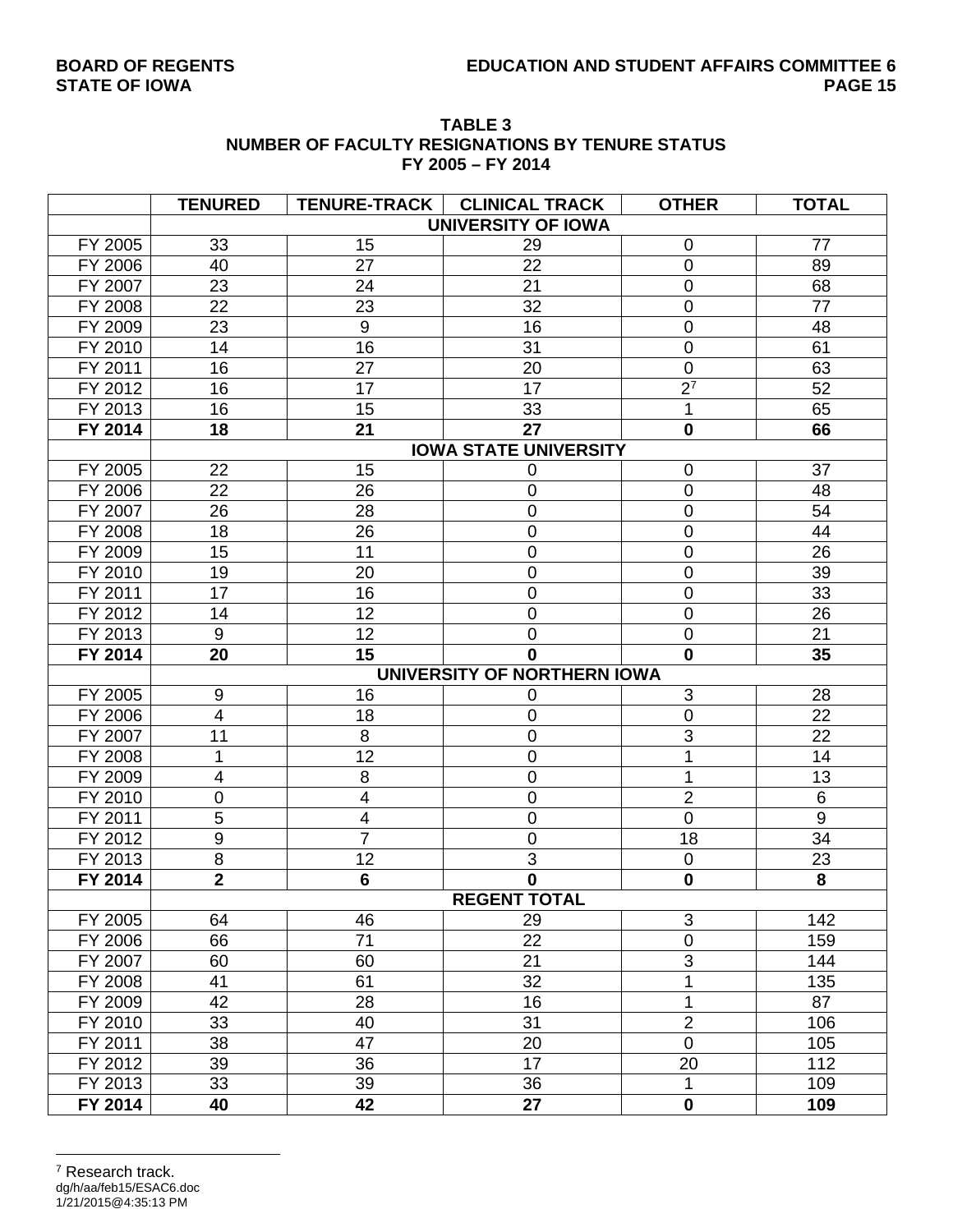| <b>TABLE 3</b>                                  |
|-------------------------------------------------|
| NUMBER OF FACULTY RESIGNATIONS BY TENURE STATUS |
| FY 2005 - FY 2014                               |

|         | <b>TENURED</b>          |                         | TENURE-TRACK   CLINICAL TRACK | <b>OTHER</b>     | <b>TOTAL</b>     |
|---------|-------------------------|-------------------------|-------------------------------|------------------|------------------|
|         |                         |                         | <b>UNIVERSITY OF IOWA</b>     |                  |                  |
| FY 2005 | 33                      | 15                      | 29                            | 0                | 77               |
| FY 2006 | 40                      | 27                      | 22                            | $\overline{0}$   | 89               |
| FY 2007 | 23                      | 24                      | 21                            | $\mathbf 0$      | 68               |
| FY 2008 | 22                      | 23                      | 32                            | $\mathbf 0$      | 77               |
| FY 2009 | 23                      | $9\,$                   | 16                            | $\mathbf 0$      | 48               |
| FY 2010 | 14                      | 16                      | 31                            | $\overline{0}$   | 61               |
| FY 2011 | 16                      | 27                      | 20                            | $\mathbf 0$      | 63               |
| FY 2012 | 16                      | 17                      | 17                            | $\overline{2^7}$ | 52               |
| FY 2013 | 16                      | 15                      | 33                            | 1                | 65               |
| FY 2014 | 18                      | 21                      | 27                            | $\mathbf 0$      | 66               |
|         |                         |                         | <b>IOWA STATE UNIVERSITY</b>  |                  |                  |
| FY 2005 | 22                      | 15                      | 0                             | $\mathbf 0$      | 37               |
| FY 2006 | 22                      | 26                      | 0                             | $\mathbf 0$      | 48               |
| FY 2007 | 26                      | 28                      | 0                             | $\boldsymbol{0}$ | 54               |
| FY 2008 | 18                      | 26                      | 0                             | $\mathbf 0$      | 44               |
| FY 2009 | 15                      | 11                      | 0                             | $\overline{0}$   | 26               |
| FY 2010 | 19                      | 20                      | 0                             | $\mathbf 0$      | 39               |
| FY 2011 | 17                      | 16                      | 0                             | $\mathbf 0$      | 33               |
| FY 2012 | 14                      | 12                      | 0                             | $\mathbf 0$      | 26               |
| FY 2013 | 9                       | 12                      | 0                             | $\mathbf 0$      | 21               |
| FY 2014 | 20                      | 15                      | $\Omega$                      | $\mathbf 0$      | 35               |
|         |                         |                         | UNIVERSITY OF NORTHERN IOWA   |                  |                  |
| FY 2005 | $\boldsymbol{9}$        | 16                      | 0                             | 3                | 28               |
| FY 2006 | $\overline{\mathbf{4}}$ | 18                      | 0                             | $\mathbf 0$      | 22               |
| FY 2007 | 11                      | 8                       | 0                             | 3                | 22               |
| FY 2008 | 1                       | $\overline{12}$         | 0                             | 1                | 14               |
| FY 2009 | 4                       | 8                       | 0                             | 1                | 13               |
| FY 2010 | $\overline{0}$          | $\overline{\mathbf{4}}$ | 0                             | $\overline{2}$   | $6\,$            |
| FY 2011 | 5                       | $\overline{\mathbf{4}}$ | 0                             | $\mathbf 0$      | $\boldsymbol{9}$ |
| FY 2012 | $\boldsymbol{9}$        | $\overline{7}$          | 0                             | 18               | 34               |
| FY 2013 | 8                       | 12                      | 3                             | $\mathbf 0$      | 23               |
| FY 2014 | $\overline{2}$          | $6\phantom{1}$          | $\mathbf{0}$                  | $\mathbf 0$      | 8                |
|         |                         |                         | <b>REGENT TOTAL</b>           |                  |                  |
| FY 2005 | 64                      | 46                      | 29                            | 3                | 142              |
| FY 2006 | 66                      | 71                      | 22                            | $\pmb{0}$        | 159              |
| FY 2007 | 60                      | 60                      | 21                            | 3                | 144              |
| FY 2008 | 41                      | 61                      | 32                            | 1                | 135              |
| FY 2009 | 42                      | 28                      | 16                            | 1                | 87               |
| FY 2010 | 33                      | 40                      | 31                            | $\overline{2}$   | 106              |
| FY 2011 | 38                      | 47                      | 20                            | $\mathbf 0$      | 105              |
| FY 2012 | 39                      | 36                      | 17                            | 20               | 112              |
| FY 2013 | 33                      | 39                      | 36                            | $\mathbf 1$      | 109              |
| FY 2014 | 40                      | 42                      | 27                            | $\mathbf 0$      | 109              |

#### dg/h/aa/feb15/ESAC6.doc 1/21/2015@4:35:13 PM  $\overline{a}$ 7 Research track.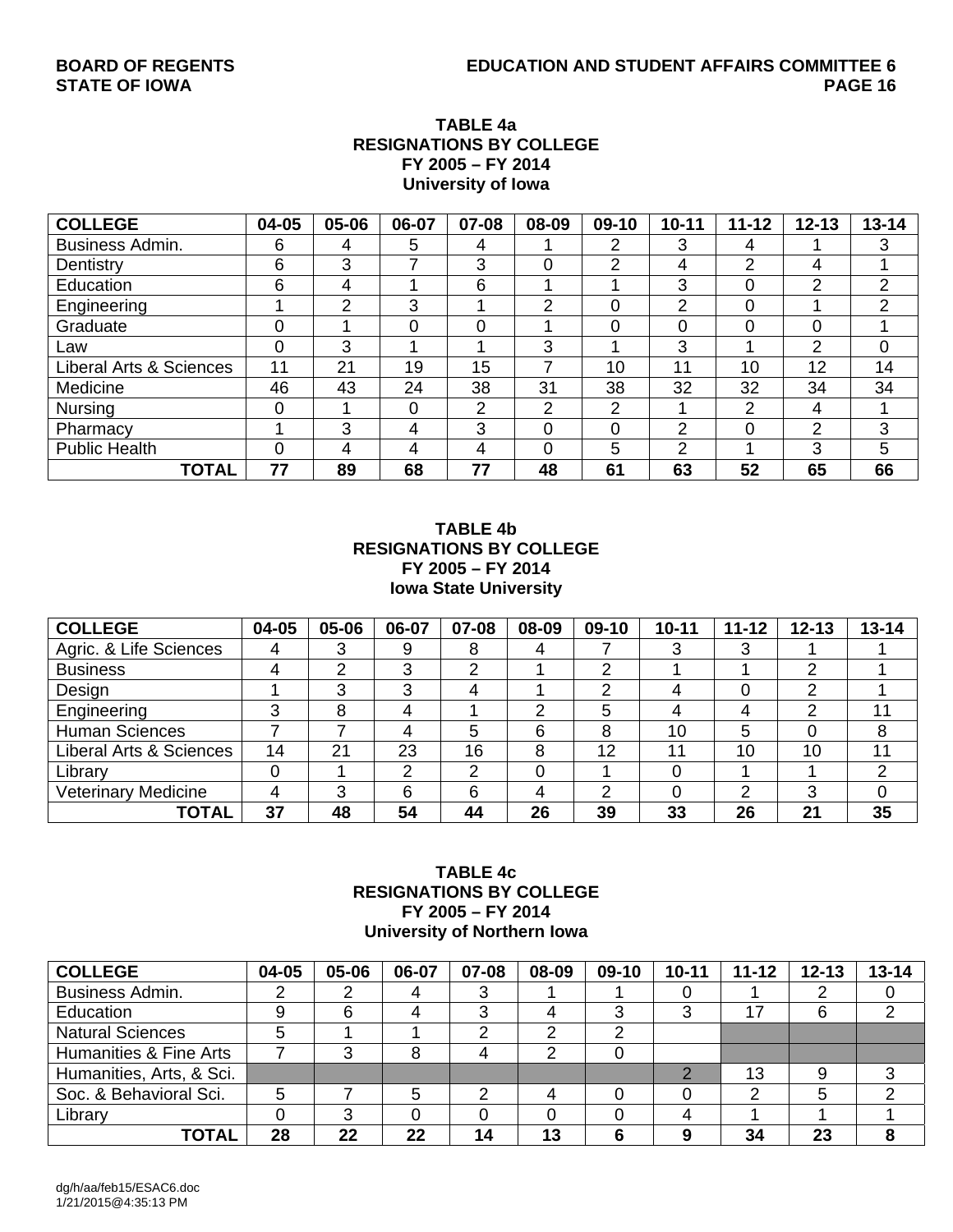#### **TABLE 4a RESIGNATIONS BY COLLEGE FY 2005 – FY 2014 University of Iowa**

| <b>COLLEGE</b>                     | 04-05 | 05-06 | 06-07 | 07-08          | 08-09 | 09-10 | $10 - 11$ | $11 - 12$ | $12 - 13$ | $13 - 14$      |
|------------------------------------|-------|-------|-------|----------------|-------|-------|-----------|-----------|-----------|----------------|
| <b>Business Admin.</b>             | 6     | 4     | 5     | 4              |       | ာ     | 3         | 4         |           | 3              |
| Dentistry                          | 6     | 3     |       | 3              |       | ⌒     | 4         | 2         | 4         |                |
| Education                          | 6     | 4     |       | 6              |       |       | 3         | 0         | 2         | $\overline{2}$ |
| Engineering                        |       | 2     | 3     |                | າ     |       | っ         | $\Omega$  |           | 2              |
| Graduate                           | 0     |       | 0     |                |       |       | $\Omega$  | $\Omega$  | 0         |                |
| Law                                | 0     | 3     |       |                | 3     |       | 3         |           | 2         | 0              |
| <b>Liberal Arts &amp; Sciences</b> | 11    | 21    | 19    | 15             |       | 10    | 11        | 10        | 12        | 14             |
| Medicine                           | 46    | 43    | 24    | 38             | 31    | 38    | 32        | 32        | 34        | 34             |
| <b>Nursing</b>                     | 0     |       | 0     | $\overline{2}$ | っ     | റ     |           | 2         | 4         |                |
| Pharmacy                           |       | 3     | 4     | 3              |       | 0     | 2         | $\Omega$  | 2         | 3              |
| <b>Public Health</b>               | 0     | 4     | 4     | 4              |       | 5     | ာ         |           | 3         | 5              |
| <b>TOTAL</b>                       | 77    | 89    | 68    | 77             | 48    | 61    | 63        | 52        | 65        | 66             |

#### **TABLE 4b RESIGNATIONS BY COLLEGE FY 2005 – FY 2014 Iowa State University**

| <b>COLLEGE</b>             | 04-05 | 05-06  | 06-07 | 07-08 | 08-09 | 09-10 | $10 - 11$ | $11 - 12$ | $12 - 13$ | $13 - 14$ |
|----------------------------|-------|--------|-------|-------|-------|-------|-----------|-----------|-----------|-----------|
| Agric. & Life Sciences     | 4     | د      | 9     | 8     |       |       |           | 3         |           |           |
| <b>Business</b>            |       | ົ      | 3     | 2     |       | ◠     |           |           | ⌒         |           |
| Design                     |       | ≏<br>C | റ     | 4     |       |       |           |           | ⌒         |           |
| Engineering                |       | 8      | 4     |       | っ     | 5     |           | 4         | າ         | 11        |
| <b>Human Sciences</b>      |       |        | 4     | 5     | 6     | 8     | 10        | 5         |           | 8         |
| Liberal Arts & Sciences    | 14    | 21     | 23    | 16    | 8     | 12    | 11        | 10        | 10        | 11        |
| Library                    |       |        | ◠     | 2     | 0     |       |           |           |           | っ         |
| <b>Veterinary Medicine</b> | 4     | 3      | 6     | 6     |       | ◠     |           | ⌒         | 3         |           |
| <b>TOTAL</b>               | 37    | 48     | 54    | 44    | 26    | 39    | 33        | 26        | 21        | 35        |

#### **TABLE 4c RESIGNATIONS BY COLLEGE FY 2005 – FY 2014 University of Northern Iowa**

| <b>COLLEGE</b>           | 04-05 | 05-06 | 06-07 | 07-08 | 08-09 | 09-10 | $10 - 11$ | $11 - 12$ | $12 - 13$ | $13 - 14$ |
|--------------------------|-------|-------|-------|-------|-------|-------|-----------|-----------|-----------|-----------|
| Business Admin.          |       |       |       |       |       |       |           |           |           |           |
| Education                | 9     | 6     |       |       |       | ◠     | 3         | 17        | 6         |           |
| <b>Natural Sciences</b>  | 5     |       |       |       |       |       |           |           |           |           |
| Humanities & Fine Arts   |       |       |       |       |       |       |           |           |           |           |
| Humanities, Arts, & Sci. |       |       |       |       |       |       |           | 13        | 9         |           |
| Soc. & Behavioral Sci.   | 5     |       |       |       |       |       |           | າ         | 5         |           |
| Library                  |       | 3     |       |       |       |       |           |           |           |           |
| TOTAL                    | 28    | 22    | 22    | 14    | 13    |       | 9         | 34        | 23        |           |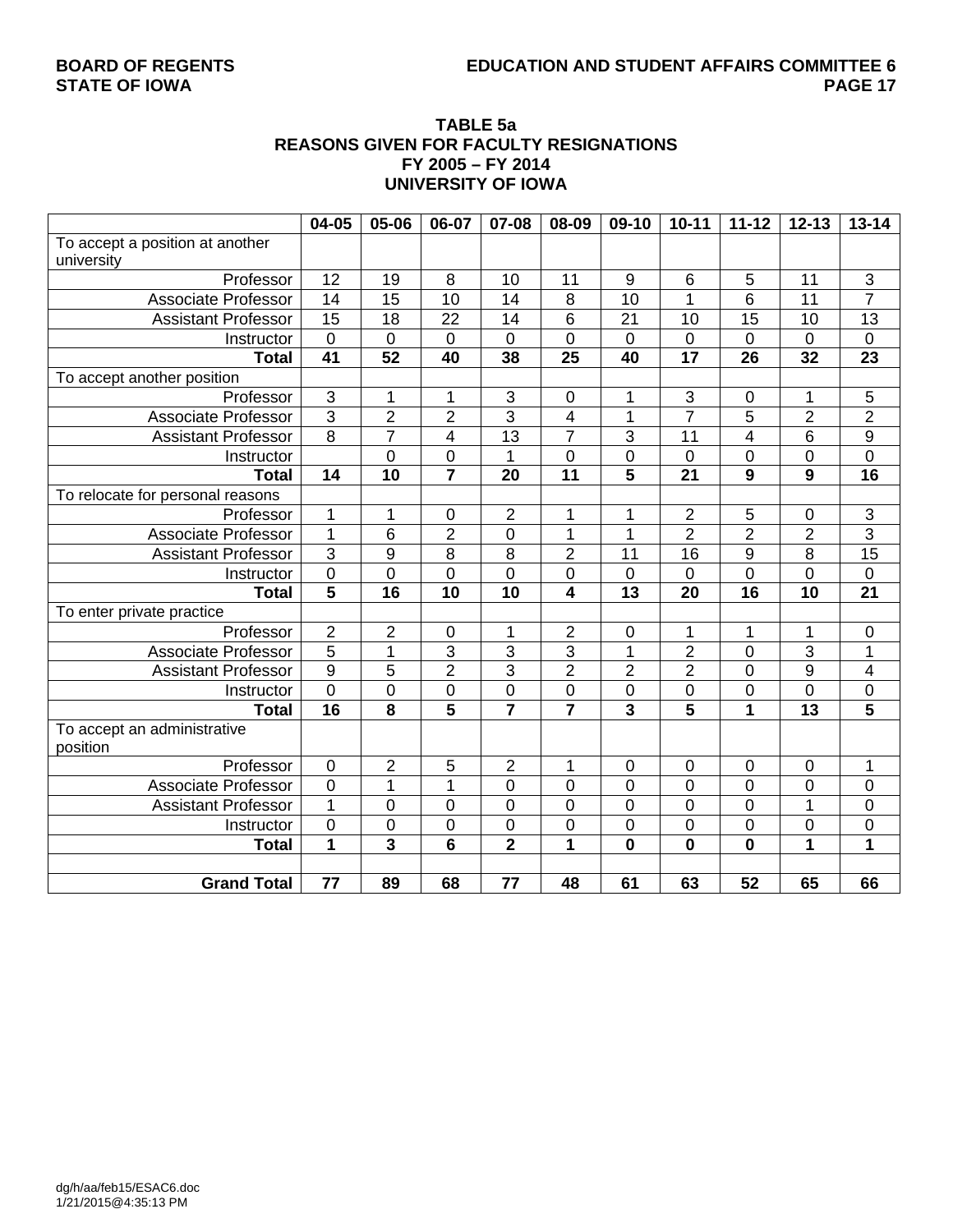### **BOARD OF REGENTS EDUCATION AND STUDENT AFFAIRS COMMITTEE 6**

#### **TABLE 5a REASONS GIVEN FOR FACULTY RESIGNATIONS FY 2005 – FY 2014 UNIVERSITY OF IOWA**

|                                  | 04-05               | 05-06                   | 06-07                   | 07-08                   | 08-09                   | $09-10$                 | $10 - 11$        | $11 - 12$       | $12 - 13$               | $13 - 14$                 |
|----------------------------------|---------------------|-------------------------|-------------------------|-------------------------|-------------------------|-------------------------|------------------|-----------------|-------------------------|---------------------------|
| To accept a position at another  |                     |                         |                         |                         |                         |                         |                  |                 |                         |                           |
| university                       |                     |                         |                         |                         |                         |                         |                  |                 |                         |                           |
| Professor                        | 12                  | 19                      | 8                       | 10                      | 11                      | $9\,$                   | 6                | 5               | 11                      | $\ensuremath{\mathsf{3}}$ |
| Associate Professor              | 14                  | 15                      | 10                      | 14                      | 8                       | 10                      | 1                | 6               | 11                      | $\overline{7}$            |
| <b>Assistant Professor</b>       | 15                  | 18                      | 22                      | 14                      | 6                       | 21                      | 10               | 15              | 10                      | 13                        |
| Instructor                       | $\pmb{0}$           | $\mathbf 0$             | $\overline{0}$          | $\overline{0}$          | 0                       | $\mathbf 0$             | $\mathbf 0$      | $\overline{0}$  | $\mathbf 0$             | $\pmb{0}$                 |
| <b>Total</b>                     | $\overline{41}$     | 52                      | 40                      | 38                      | 25                      | 40                      | $\overline{17}$  | $\overline{26}$ | 32                      | $\overline{23}$           |
| To accept another position       |                     |                         |                         |                         |                         |                         |                  |                 |                         |                           |
| Professor                        | $\overline{\omega}$ | 1                       | 1                       | 3                       | $\boldsymbol{0}$        | 1                       | $\mathsf 3$      | 0               | 1                       | 5                         |
| <b>Associate Professor</b>       | $\overline{3}$      | $\overline{2}$          | $\overline{2}$          | 3                       | $\overline{\mathbf{4}}$ | 1                       | $\overline{7}$   | 5               | $\overline{2}$          | $\overline{2}$            |
| <b>Assistant Professor</b>       | $\overline{8}$      | $\overline{7}$          | $\overline{\mathbf{4}}$ | 13                      | $\overline{7}$          | $\overline{3}$          | 11               | 4               | 6                       | $\overline{9}$            |
| Instructor                       |                     | $\overline{0}$          | $\mathbf 0$             | 1                       | $\overline{0}$          | $\overline{0}$          | 0                | $\overline{0}$  | 0                       | $\overline{0}$            |
| <b>Total</b>                     | 14                  | 10                      | $\overline{\mathbf{7}}$ | 20                      | $\overline{11}$         | $\overline{\mathbf{5}}$ | 21               | 9               | 9                       | 16                        |
| To relocate for personal reasons |                     |                         |                         |                         |                         |                         |                  |                 |                         |                           |
| Professor                        | $\mathbf 1$         | 1                       | 0                       | $\overline{2}$          | 1                       | 1                       | $\overline{2}$   | 5               | 0                       |                           |
| <b>Associate Professor</b>       | $\mathbf{1}$        | $6\phantom{1}6$         | $\overline{2}$          | 0                       | 1                       | 1                       | $\overline{2}$   | $\overline{2}$  | $\overline{2}$          | $\frac{3}{3}$             |
| <b>Assistant Professor</b>       | $\overline{3}$      | 9                       | 8                       | 8                       | $\overline{2}$          | 11                      | 16               | 9               | 8                       | 15                        |
| Instructor                       | $\overline{0}$      | 0                       | $\overline{0}$          | 0                       | $\overline{0}$          | 0                       | 0                | 0               | 0                       | $\mathbf 0$               |
| <b>Total</b>                     | $\overline{5}$      | 16                      | 10                      | 10                      | $\overline{\mathbf{4}}$ | $\overline{13}$         | 20               | 16              | 10                      | 21                        |
| To enter private practice        |                     |                         |                         |                         |                         |                         |                  |                 |                         |                           |
| Professor                        | $\overline{2}$      | $\mathbf 2$             | 0                       | 1                       | $\overline{2}$          | $\pmb{0}$               | 1                | 1               | 1                       | 0                         |
| Associate Professor              | $\overline{5}$      | 1                       | $\overline{3}$          | 3                       | $\overline{3}$          | 1                       | $\overline{2}$   | $\mathbf 0$     | 3                       | 1                         |
| <b>Assistant Professor</b>       | $\overline{9}$      | 5                       | $\overline{2}$          | 3                       | $\overline{2}$          | $\overline{2}$          | 2                | $\mathbf 0$     | 9                       | 4                         |
| Instructor                       | $\overline{0}$      | $\mathsf 0$             | 0                       | 0                       | $\boldsymbol{0}$        | 0                       | 0                | $\mathbf 0$     | $\mathbf 0$             | $\mathbf 0$               |
| <b>Total</b>                     | 16                  | $\overline{\mathbf{8}}$ | $\overline{5}$          | $\overline{\mathbf{7}}$ | $\overline{\mathbf{7}}$ | $\overline{3}$          | 5                | $\overline{1}$  | $\overline{13}$         | 5                         |
| To accept an administrative      |                     |                         |                         |                         |                         |                         |                  |                 |                         |                           |
| position                         |                     |                         |                         |                         |                         |                         |                  |                 |                         |                           |
| Professor                        | $\mathbf 0$         | $\mathbf 2$             | 5                       | $\boldsymbol{2}$        | 1                       | 0                       | $\boldsymbol{0}$ | $\mathbf 0$     | $\pmb{0}$               | 1                         |
| <b>Associate Professor</b>       | $\mathbf 0$         | $\mathbf 1$             | $\overline{1}$          | $\overline{0}$          | $\overline{0}$          | $\overline{0}$          | $\mathbf 0$      | $\overline{0}$  | $\overline{0}$          | $\mathbf 0$               |
| <b>Assistant Professor</b>       | $\mathbf{1}$        | 0                       | 0                       | $\mathbf 0$             | $\mathbf 0$             | $\overline{0}$          | 0                | $\mathbf 0$     | 1                       | $\mathbf 0$               |
| Instructor                       | $\mathbf 0$         | 0                       | $\overline{0}$          | $\mathbf 0$             | 0                       | $\mathbf 0$             | 0                | $\overline{0}$  | 0                       | $\mathbf 0$               |
| <b>Total</b>                     | 1                   | 3                       | 6                       | $\overline{\mathbf{2}}$ | 1                       | $\mathbf{0}$            | 0                | $\mathbf 0$     | $\overline{\mathbf{1}}$ | 1                         |
|                                  |                     |                         |                         |                         |                         |                         |                  |                 |                         |                           |
| <b>Grand Total</b>               | 77                  | 89                      | 68                      | 77                      | 48                      | 61                      | 63               | 52              | 65                      | 66                        |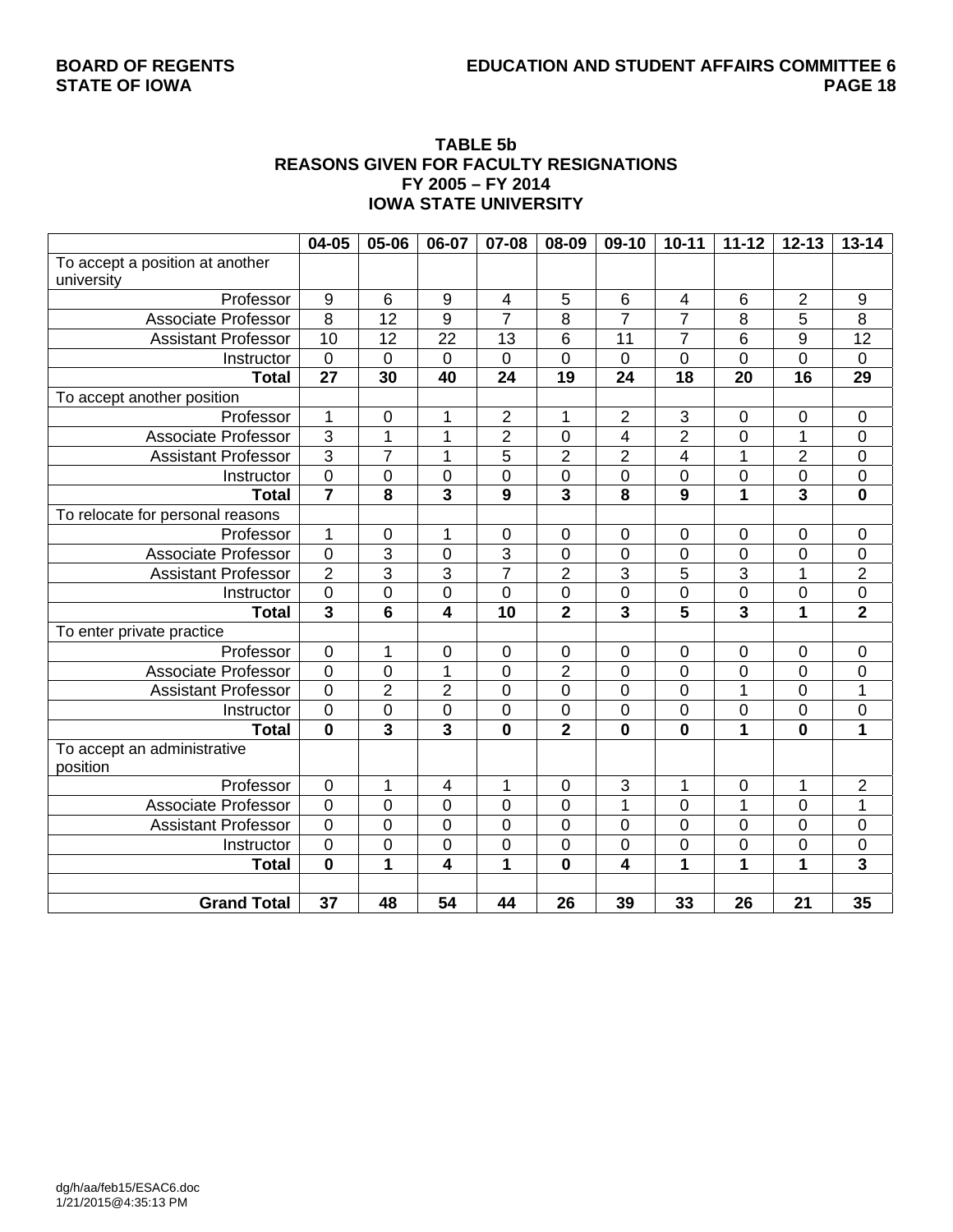## **BOARD OF REGENTS EDUCATION AND STUDENT AFFAIRS COMMITTEE 6**

#### **TABLE 5b REASONS GIVEN FOR FACULTY RESIGNATIONS FY 2005 – FY 2014 IOWA STATE UNIVERSITY**

|                                  | 04-05                   | 05-06          | 06-07                   | 07-08                   | 08-09                   | 09-10                   | $10 - 11$                | $11 - 12$               | $12 - 13$       | $13 - 14$               |
|----------------------------------|-------------------------|----------------|-------------------------|-------------------------|-------------------------|-------------------------|--------------------------|-------------------------|-----------------|-------------------------|
| To accept a position at another  |                         |                |                         |                         |                         |                         |                          |                         |                 |                         |
| university                       |                         |                |                         |                         |                         |                         |                          |                         |                 |                         |
| Professor                        | $9\,$                   | $\,6$          | 9                       | $\overline{4}$          | 5                       | $\,6$                   | $\overline{\mathcal{A}}$ | 6                       | $\overline{2}$  | $\boldsymbol{9}$        |
| Associate Professor              | $\overline{8}$          | 12             | 9                       | $\overline{7}$          | 8                       | $\overline{7}$          | $\overline{7}$           | 8                       | 5               | $\overline{8}$          |
| <b>Assistant Professor</b>       | $\overline{10}$         | 12             | $\overline{22}$         | 13                      | 6                       | 11                      | $\overline{7}$           | 6                       | $\overline{9}$  | 12                      |
| Instructor                       | $\mathbf 0$             | 0              | $\mathbf 0$             | 0                       | 0                       | 0                       | 0                        | 0                       | $\overline{0}$  | 0                       |
| <b>Total</b>                     | $\overline{27}$         | 30             | 40                      | $\overline{24}$         | 19                      | $\overline{24}$         | 18                       | $\overline{20}$         | $\overline{16}$ | 29                      |
| To accept another position       |                         |                |                         |                         |                         |                         |                          |                         |                 |                         |
| Professor                        | 1                       | $\pmb{0}$      | 1                       | $\mathbf 2$             | 1                       | 2                       | $\mathsf 3$              | $\mathbf 0$             | $\mathbf 0$     | $\mathbf 0$             |
| <b>Associate Professor</b>       | $\overline{3}$          | 1              | 1                       | $\overline{2}$          | $\mathbf 0$             | 4                       | $\overline{2}$           | 0                       | 1               | $\mathbf 0$             |
| <b>Assistant Professor</b>       | $\overline{3}$          | 7              | 1                       | 5                       | $\overline{2}$          | $\overline{2}$          | 4                        | 1                       | $\overline{2}$  | $\pmb{0}$               |
| Instructor                       | $\mathbf 0$             | 0              | $\mathbf 0$             | 0                       | 0                       | 0                       | $\mathbf 0$              | 0                       | $\mathbf 0$     | $\mathbf 0$             |
| <b>Total</b>                     | $\overline{7}$          | 8              | $\overline{\mathbf{3}}$ | $\overline{9}$          | $\overline{\mathbf{3}}$ | $\overline{\mathbf{8}}$ | 9                        | $\overline{\mathbf{1}}$ | $\overline{3}$  | $\mathbf 0$             |
| To relocate for personal reasons |                         |                |                         |                         |                         |                         |                          |                         |                 |                         |
| Professor                        | $\mathbf 1$             | 0              | 1                       | $\pmb{0}$               | $\mathbf 0$             | $\mathbf 0$             | $\overline{0}$           | $\mathbf 0$             | $\mathbf 0$     | $\mathbf 0$             |
| Associate Professor              | $\mathbf 0$             | $\overline{3}$ | $\mathbf 0$             | $\overline{3}$          | $\mathbf 0$             | $\mathbf 0$             | $\mathbf 0$              | $\mathbf 0$             | $\overline{0}$  | $\boldsymbol{0}$        |
| <b>Assistant Professor</b>       | $\overline{2}$          | $\overline{3}$ | $\overline{3}$          | $\overline{7}$          | $\overline{2}$          | $\overline{3}$          | 5                        | 3                       | 1               | $\overline{2}$          |
| Instructor                       | $\mathbf 0$             | 0              | $\boldsymbol{0}$        | $\mathbf 0$             | $\mathbf 0$             | $\mathbf 0$             | $\mathbf 0$              | 0                       | $\mathbf 0$     | $\overline{0}$          |
| <b>Total</b>                     | $\overline{\mathbf{3}}$ | $6\phantom{1}$ | 4                       | 10                      | $\overline{\mathbf{2}}$ | 3                       | 5                        | 3                       | 1               | $\overline{2}$          |
| To enter private practice        |                         |                |                         |                         |                         |                         |                          |                         |                 |                         |
| Professor                        | $\pmb{0}$               | 1              | $\mathbf 0$             | $\boldsymbol{0}$        | $\mathbf 0$             | $\boldsymbol{0}$        | $\boldsymbol{0}$         | 0                       | $\mathbf 0$     | $\pmb{0}$               |
| <b>Associate Professor</b>       | $\overline{0}$          | $\overline{0}$ | $\overline{1}$          | $\overline{0}$          | $\overline{2}$          | $\overline{0}$          | $\overline{0}$           | $\overline{0}$          | $\overline{0}$  | $\overline{0}$          |
| <b>Assistant Professor</b>       | $\overline{0}$          | $\overline{2}$ | $\overline{2}$          | $\pmb{0}$               | $\mathbf 0$             | 0                       | $\mathbf 0$              | 1                       | $\mathbf 0$     | 1                       |
| Instructor                       | $\mathbf 0$             | $\mathbf 0$    | $\mathbf 0$             | $\mathbf 0$             | $\mathbf 0$             | 0                       | $\mathbf 0$              | 0                       | $\overline{0}$  | $\mathbf 0$             |
| <b>Total</b>                     | $\mathbf 0$             | 3              | $\overline{\mathbf{3}}$ | $\mathbf 0$             | $\overline{\mathbf{2}}$ | $\mathbf 0$             | $\mathbf 0$              | $\overline{\mathbf{1}}$ | $\mathbf 0$     | 1                       |
| To accept an administrative      |                         |                |                         |                         |                         |                         |                          |                         |                 |                         |
| position                         |                         |                |                         |                         |                         |                         |                          |                         |                 |                         |
| Professor                        | $\mathbf 0$             | 1              | 4                       | $\mathbf{1}$            | $\overline{0}$          | 3                       | 1                        | 0                       | $\mathbf{1}$    | $\overline{2}$          |
| <b>Associate Professor</b>       | $\overline{0}$          | $\overline{0}$ | $\overline{0}$          | $\overline{0}$          | $\mathbf 0$             | 1                       | $\mathbf 0$              | 1                       | $\mathbf 0$     | 1                       |
| <b>Assistant Professor</b>       | $\overline{0}$          | $\overline{0}$ | $\mathbf 0$             | $\mathbf 0$             | $\overline{0}$          | $\overline{0}$          | $\overline{0}$           | $\mathbf 0$             | $\overline{0}$  | $\overline{0}$          |
| Instructor                       | $\mathbf 0$             | $\mathbf 0$    | $\mathbf 0$             | $\mathsf 0$             | $\mathbf 0$             | $\mathbf 0$             | $\mathbf 0$              | $\mathbf 0$             | $\mathbf 0$     | $\overline{0}$          |
| <b>Total</b>                     | $\mathbf 0$             | 1              | 4                       | $\overline{\mathbf{1}}$ | $\mathbf{0}$            | 4                       | $\overline{1}$           | $\overline{1}$          | 1               | $\overline{\mathbf{3}}$ |
|                                  |                         |                |                         |                         |                         |                         |                          |                         |                 |                         |
| <b>Grand Total</b>               | 37                      | 48             | 54                      | 44                      | 26                      | 39                      | 33                       | 26                      | 21              | 35                      |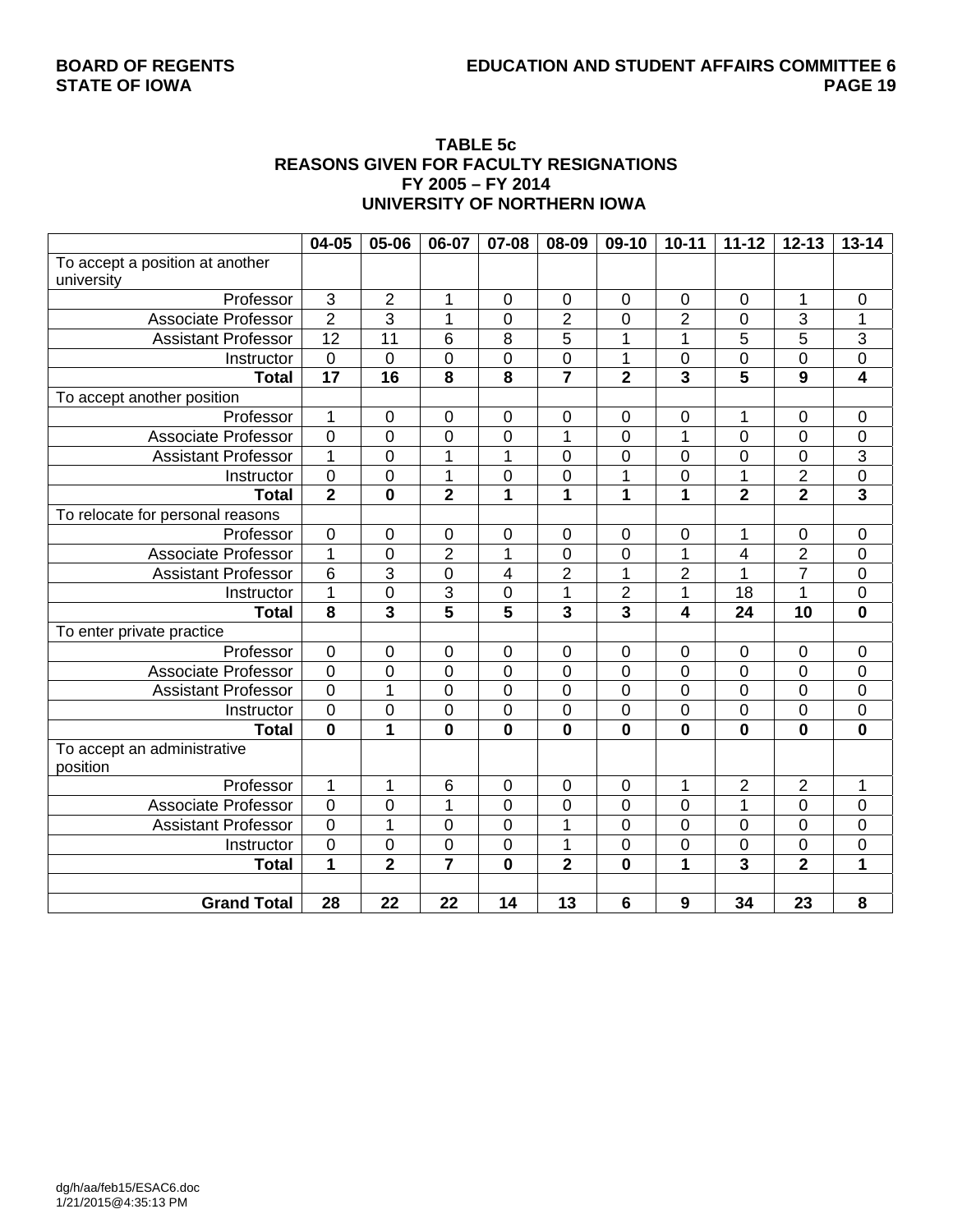#### **TABLE 5c REASONS GIVEN FOR FACULTY RESIGNATIONS FY 2005 – FY 2014 UNIVERSITY OF NORTHERN IOWA**

|                                  | 04-05                   | 05-06                   | 06-07                   | 07-08                   | 08-09                   | 09-10          | $10 - 11$               | $11 - 12$               | $12 - 13$               | $13 - 14$               |
|----------------------------------|-------------------------|-------------------------|-------------------------|-------------------------|-------------------------|----------------|-------------------------|-------------------------|-------------------------|-------------------------|
| To accept a position at another  |                         |                         |                         |                         |                         |                |                         |                         |                         |                         |
| university                       |                         |                         |                         |                         |                         |                |                         |                         |                         |                         |
| Professor                        | 3                       | $\overline{2}$          | 1                       | $\mathbf 0$             | $\mathbf 0$             | $\mathbf 0$    | $\mathbf 0$             | 0                       | 1                       | $\pmb{0}$               |
| Associate Professor              | $\overline{2}$          | 3                       | 1                       | $\mathbf 0$             | $\overline{2}$          | 0              | $\overline{2}$          | 0                       | 3                       | 1                       |
| <b>Assistant Professor</b>       | $\overline{12}$         | $\overline{11}$         | 6                       | 8                       | 5                       | 1              | 1                       | 5                       | $\overline{5}$          | $\overline{3}$          |
| Instructor                       | $\mathbf 0$             | $\mathbf 0$             | $\mathbf 0$             | $\mathbf 0$             | $\mathbf 0$             | 1              | $\boldsymbol{0}$        | $\mathbf 0$             | $\overline{0}$          | $\boldsymbol{0}$        |
| <b>Total</b>                     | $\overline{17}$         | $\overline{16}$         | $\overline{\mathbf{8}}$ | $\overline{\mathbf{8}}$ | $\overline{\mathbf{7}}$ | $\overline{2}$ | $\overline{\mathbf{3}}$ | $\overline{\mathbf{5}}$ | $\overline{9}$          | $\overline{4}$          |
| To accept another position       |                         |                         |                         |                         |                         |                |                         |                         |                         |                         |
| Professor                        | 1                       | $\mathbf 0$             | 0                       | $\pmb{0}$               | $\mathbf 0$             | 0              | $\mathbf 0$             | 1                       | $\mathbf 0$             | 0                       |
| <b>Associate Professor</b>       | $\overline{0}$          | 0                       | $\overline{0}$          | $\overline{0}$          | 1                       | $\overline{0}$ | 1                       | 0                       | $\overline{0}$          | $\mathbf 0$             |
| <b>Assistant Professor</b>       | 1                       | 0                       | 1                       | 1                       | 0                       | 0              | $\mathbf 0$             | 0                       | $\mathbf 0$             | $\overline{\omega}$     |
| Instructor                       | $\overline{0}$          | 0                       | $\overline{1}$          | 0                       | $\mathbf 0$             | $\mathbf 1$    | $\mathbf 0$             | $\mathbf 1$             | $\overline{2}$          | $\overline{0}$          |
| <b>Total</b>                     | $\overline{2}$          | $\bf{0}$                | $\overline{2}$          | $\overline{1}$          | $\overline{1}$          | 1              | 1                       | $\overline{\mathbf{2}}$ | $\overline{\mathbf{2}}$ | $\overline{\mathbf{3}}$ |
| To relocate for personal reasons |                         |                         |                         |                         |                         |                |                         |                         |                         |                         |
| Professor                        | $\mathbf 0$             | 0                       | 0                       | $\mathbf 0$             | $\mathbf 0$             | 0              | 0                       | 1                       | $\mathbf 0$             | $\mathsf 0$             |
| <b>Associate Professor</b>       | $\mathbf{1}$            | 0                       | $\overline{2}$          | 1                       | 0                       | 0              | 1                       | 4                       | $\overline{2}$          | 0                       |
| <b>Assistant Professor</b>       | 6                       | 3                       | $\mathbf 0$             | 4                       | $\overline{2}$          | 1              | $\overline{2}$          | 1                       | $\overline{7}$          | $\mathbf 0$             |
| Instructor                       | 1                       | 0                       | 3                       | 0                       | 1                       | $\overline{2}$ | 1                       | 18                      | 1                       | $\mathbf 0$             |
| <b>Total</b>                     | 8                       | 3                       | 5                       | 5                       | 3                       | 3              | 4                       | 24                      | 10                      | $\mathbf 0$             |
| To enter private practice        |                         |                         |                         |                         |                         |                |                         |                         |                         |                         |
| Professor                        | $\mathbf 0$             | $\mathbf 0$             | 0                       | $\mathbf 0$             | $\pmb{0}$               | 0              | $\mathbf 0$             | $\boldsymbol{0}$        | 0                       | 0                       |
| <b>Associate Professor</b>       | $\mathbf 0$             | $\mathbf 0$             | $\overline{0}$          | 0                       | 0                       | 0              | $\mathbf 0$             | $\overline{0}$          | $\mathbf 0$             | $\mathbf 0$             |
| <b>Assistant Professor</b>       | $\mathbf 0$             | 1                       | 0                       | 0                       | $\pmb{0}$               | 0              | $\boldsymbol{0}$        | $\mathbf 0$             | $\mathbf 0$             | $\mathbf 0$             |
| Instructor                       | $\mathbf 0$             | 0                       | $\mathbf 0$             | $\boldsymbol{0}$        | $\pmb{0}$               | 0              | $\mathbf 0$             | 0                       | $\overline{0}$          | $\mathsf 0$             |
| <b>Total</b>                     | $\overline{\mathbf{0}}$ | $\overline{\mathbf{1}}$ | $\mathbf 0$             | $\mathbf 0$             | 0                       | $\mathbf{0}$   | $\bf{0}$                | 0                       | $\mathbf 0$             | $\mathbf 0$             |
| To accept an administrative      |                         |                         |                         |                         |                         |                |                         |                         |                         |                         |
| position                         |                         |                         |                         |                         |                         |                |                         |                         |                         |                         |
| Professor                        | 1                       | $\mathbf 1$             | 6                       | $\pmb{0}$               | $\pmb{0}$               | $\mathbf 0$    | 1                       | $\overline{c}$          | $\overline{2}$          | 1                       |
| <b>Associate Professor</b>       | $\overline{0}$          | 0                       | 1                       | $\overline{0}$          | $\mathbf 0$             | 0              | $\mathbf 0$             | $\mathbf 1$             | $\overline{0}$          | $\mathbf 0$             |
| <b>Assistant Professor</b>       | 0                       | 1                       | $\mathbf 0$             | 0                       | 1                       | 0              | 0                       | $\mathbf 0$             | $\overline{0}$          | 0                       |
| Instructor                       | $\mathbf 0$             | 0                       | $\mathbf 0$             | 0                       | 1                       | 0              | 0                       | $\mathbf 0$             | $\mathbf 0$             | $\mathbf 0$             |
| <b>Total</b>                     | $\mathbf{1}$            | $\overline{2}$          | $\overline{7}$          | $\mathbf 0$             | $\overline{\mathbf{2}}$ | $\mathbf 0$    | 1                       | 3                       | $\overline{2}$          | $\overline{1}$          |
|                                  |                         |                         |                         |                         |                         |                |                         |                         |                         |                         |
| <b>Grand Total</b>               | 28                      | 22                      | $\overline{22}$         | $\overline{14}$         | $\overline{13}$         | 6              | 9                       | $\overline{34}$         | 23                      | $\overline{\mathbf{8}}$ |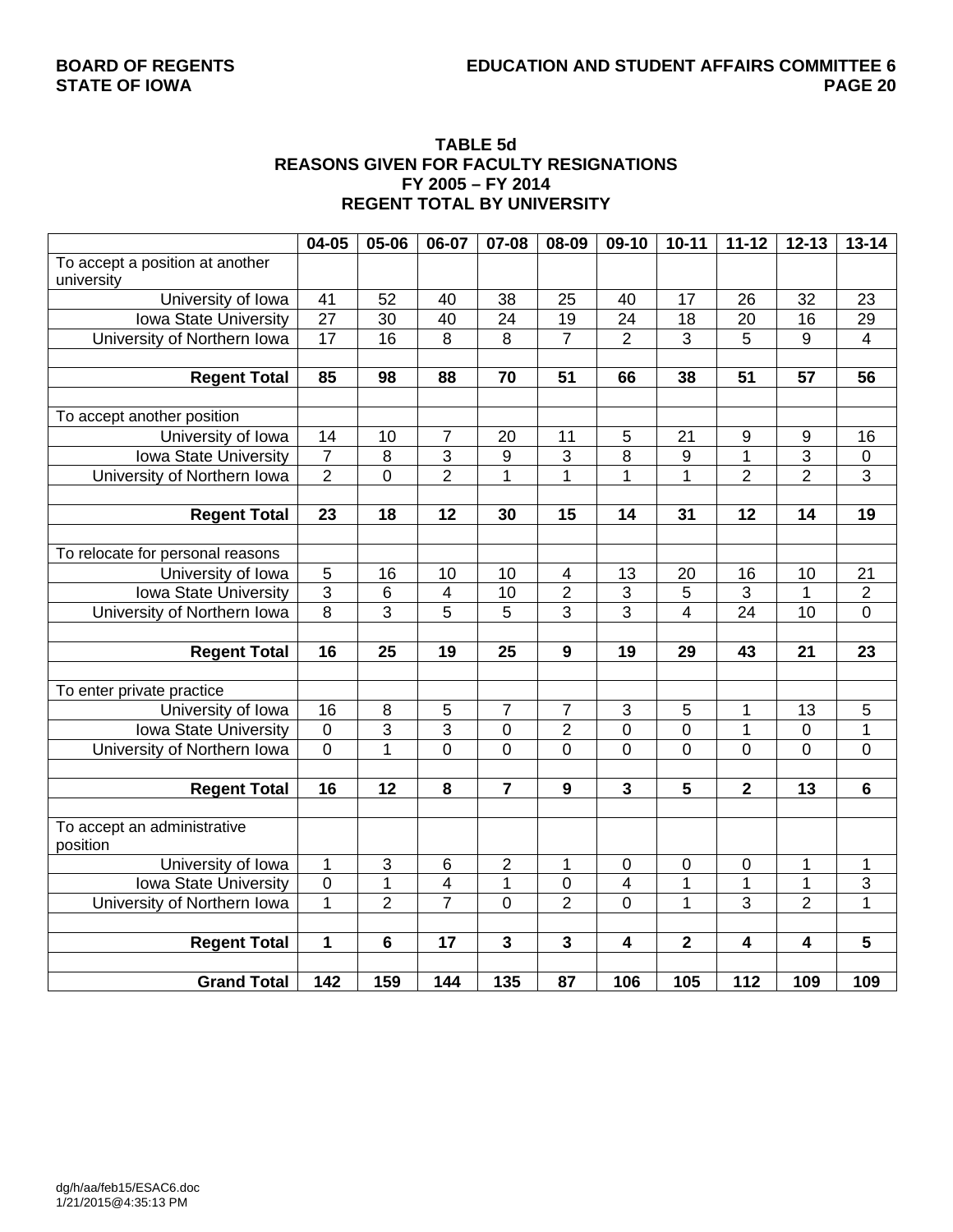#### **TABLE 5d REASONS GIVEN FOR FACULTY RESIGNATIONS FY 2005 – FY 2014 REGENT TOTAL BY UNIVERSITY**

|                                  | 04-05            | 05-06           | 06-07                   | 07-08                   | 08-09                   | 09-10                     | $10 - 11$        | $11 - 12$        | $12 - 13$               | $13 - 14$               |
|----------------------------------|------------------|-----------------|-------------------------|-------------------------|-------------------------|---------------------------|------------------|------------------|-------------------------|-------------------------|
| To accept a position at another  |                  |                 |                         |                         |                         |                           |                  |                  |                         |                         |
| university                       |                  |                 |                         |                         |                         |                           |                  |                  |                         |                         |
| University of Iowa               | 41               | 52              | 40                      | 38                      | 25                      | 40                        | 17               | 26               | 32                      | 23                      |
| Iowa State University            | $\overline{27}$  | 30              | 40                      | 24                      | 19                      | 24                        | 18               | 20               | 16                      | $\overline{29}$         |
| University of Northern Iowa      | $\overline{17}$  | 16              | $\overline{8}$          | 8                       | $\overline{7}$          | $\overline{2}$            | 3                | 5                | $9\,$                   | $\overline{4}$          |
|                                  |                  |                 |                         |                         |                         |                           |                  |                  |                         |                         |
| <b>Regent Total</b>              | 85               | 98              | 88                      | 70                      | 51                      | 66                        | 38               | 51               | 57                      | 56                      |
|                                  |                  |                 |                         |                         |                         |                           |                  |                  |                         |                         |
| To accept another position       |                  |                 |                         |                         |                         |                           |                  |                  |                         |                         |
| University of Iowa               | 14               | 10              | 7                       | 20                      | 11                      | 5                         | 21               | 9                | 9                       | 16                      |
| Iowa State University            | $\overline{7}$   | 8               | $\overline{3}$          | 9                       | $\overline{\omega}$     | $\overline{8}$            | $\boldsymbol{9}$ | 1                | $\overline{3}$          | $\frac{0}{3}$           |
| University of Northern Iowa      | $\overline{2}$   | $\overline{0}$  | $\overline{2}$          | $\mathbf{1}$            | $\overline{1}$          | 1                         | 1                | $\overline{2}$   | $\overline{2}$          |                         |
|                                  |                  |                 |                         |                         |                         |                           |                  |                  |                         |                         |
| <b>Regent Total</b>              | 23               | 18              | 12                      | 30                      | 15                      | 14                        | 31               | 12               | 14                      | 19                      |
|                                  |                  |                 |                         |                         |                         |                           |                  |                  |                         |                         |
| To relocate for personal reasons |                  |                 |                         |                         |                         |                           |                  |                  |                         |                         |
| University of Iowa               | $\mathbf 5$      | 16              | 10                      | 10                      | 4                       | 13                        | 20               | 16               | 10                      | 21                      |
| Iowa State University            | $\overline{3}$   | 6               | $\overline{\mathbf{4}}$ | 10                      | $\boldsymbol{2}$        | $\ensuremath{\mathsf{3}}$ | 5                | 3                | 1                       | $\overline{2}$          |
| University of Northern Iowa      | $\overline{8}$   | $\overline{3}$  | 5                       | 5                       | $\overline{3}$          | $\overline{3}$            | 4                | $\overline{24}$  | $\overline{10}$         | $\overline{0}$          |
|                                  |                  |                 |                         |                         |                         |                           |                  |                  |                         |                         |
| <b>Regent Total</b>              | 16               | 25              | 19                      | 25                      | $\boldsymbol{9}$        | 19                        | 29               | 43               | 21                      | 23                      |
|                                  |                  |                 |                         |                         |                         |                           |                  |                  |                         |                         |
| To enter private practice        |                  |                 |                         |                         |                         |                           |                  |                  |                         |                         |
| University of Iowa               | 16               | $\,8\,$         | $\overline{5}$          | 7                       | $\overline{7}$          | $\ensuremath{\mathsf{3}}$ | 5                | 1                | 13                      | 5                       |
| Iowa State University            | $\boldsymbol{0}$ | $\overline{3}$  | $\overline{3}$          | $\overline{0}$          | $\overline{2}$          | $\overline{0}$            | 0                | 1                | 0                       | 1                       |
| University of Northern Iowa      | $\overline{0}$   | $\overline{1}$  | $\overline{0}$          | $\overline{0}$          | $\overline{0}$          | $\overline{0}$            | 0                | $\overline{0}$   | $\overline{0}$          | $\overline{0}$          |
|                                  |                  |                 |                         |                         |                         |                           |                  |                  |                         |                         |
| <b>Regent Total</b>              | 16               | $\overline{12}$ | $\overline{\mathbf{8}}$ | $\overline{7}$          | 9                       | $\overline{\mathbf{3}}$   | 5                | $\overline{2}$   | 13                      | $\overline{\mathbf{6}}$ |
|                                  |                  |                 |                         |                         |                         |                           |                  |                  |                         |                         |
| To accept an administrative      |                  |                 |                         |                         |                         |                           |                  |                  |                         |                         |
| position                         |                  |                 |                         |                         |                         |                           |                  |                  |                         |                         |
| University of Iowa               | $\mathbf 1$      | $\sqrt{3}$      | $\,6$                   | $\mathbf 2$             | 1                       | $\boldsymbol{0}$          | 0                | $\mathbf 0$      | 1                       | 1                       |
| Iowa State University            | $\overline{0}$   | 1               | 4                       | 1                       | $\mathbf 0$             | 4                         | 1                | 1                | 1                       | 3                       |
| University of Northern Iowa      | $\overline{1}$   | $\overline{2}$  | $\overline{7}$          | $\overline{0}$          | $\overline{2}$          | $\overline{0}$            | 1                | 3                | $\overline{2}$          | $\overline{1}$          |
|                                  |                  |                 |                         |                         |                         |                           |                  |                  |                         |                         |
| <b>Regent Total</b>              | $\mathbf{1}$     | $6\phantom{1}$  | $\overline{17}$         | $\overline{\mathbf{3}}$ | $\overline{\mathbf{3}}$ | $\overline{4}$            | $\overline{2}$   | 4                | $\overline{\mathbf{4}}$ | $\overline{\mathbf{5}}$ |
|                                  |                  |                 |                         |                         |                         |                           |                  |                  |                         |                         |
| <b>Grand Total</b>               | 142              | 159             | 144                     | 135                     | 87                      | 106                       | 105              | $\overline{112}$ | 109                     | 109                     |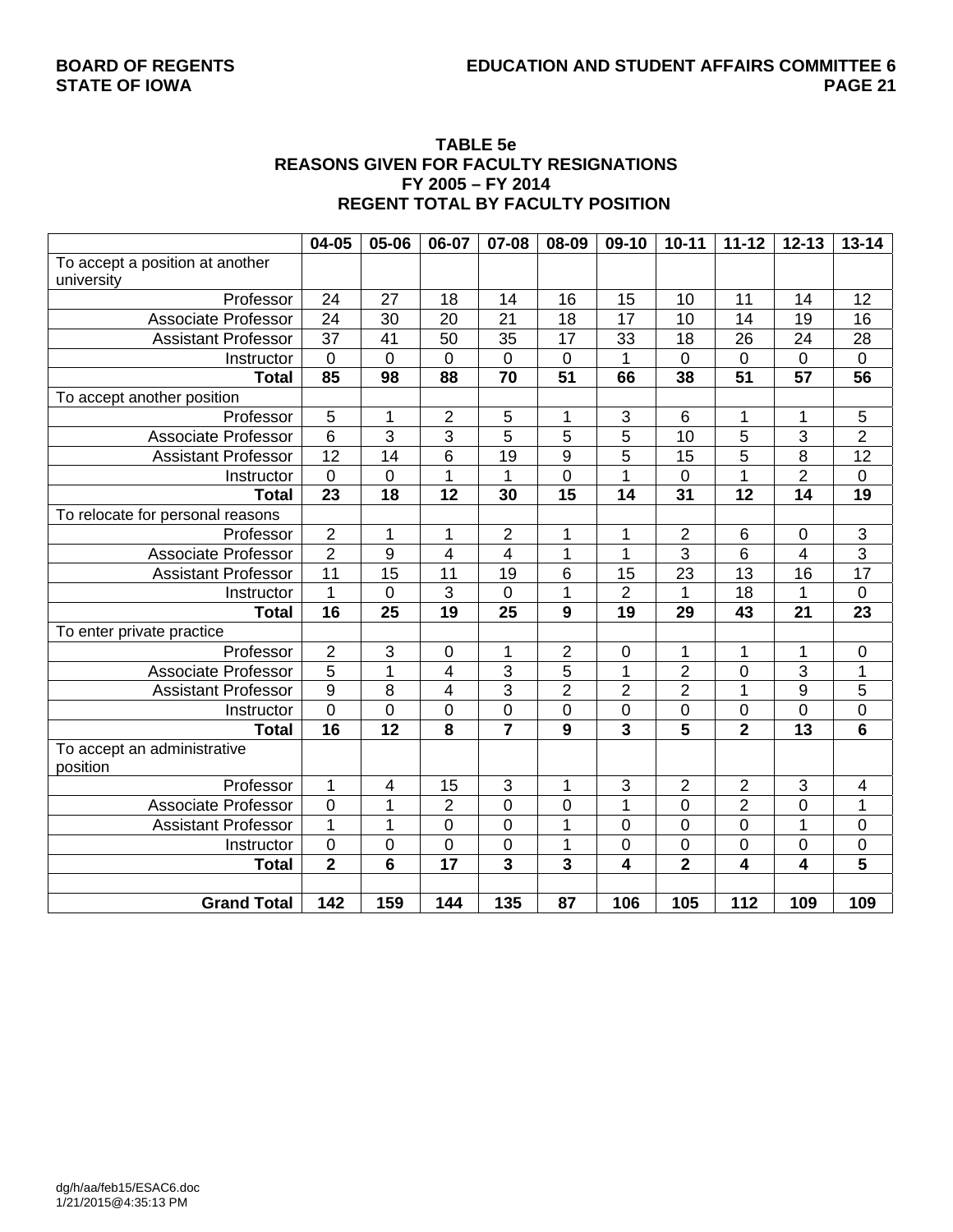#### **TABLE 5e REASONS GIVEN FOR FACULTY RESIGNATIONS FY 2005 – FY 2014 REGENT TOTAL BY FACULTY POSITION**

|                                  | 04-05                   | 05-06           | 06-07                   | 07-08                   | 08-09           | 09-10           | $10 - 11$        | $11 - 12$        | $12 - 13$       | $13 - 14$               |
|----------------------------------|-------------------------|-----------------|-------------------------|-------------------------|-----------------|-----------------|------------------|------------------|-----------------|-------------------------|
| To accept a position at another  |                         |                 |                         |                         |                 |                 |                  |                  |                 |                         |
| university                       |                         |                 |                         |                         |                 |                 |                  |                  |                 |                         |
| Professor                        | 24                      | 27              | 18                      | 14                      | 16              | 15              | 10               | 11               | 14              | 12                      |
| <b>Associate Professor</b>       | $\overline{24}$         | 30              | 20                      | 21                      | 18              | 17              | 10               | 14               | 19              | 16                      |
| <b>Assistant Professor</b>       | $\overline{37}$         | 41              | 50                      | 35                      | 17              | 33              | 18               | 26               | 24              | 28                      |
| Instructor                       | $\mathbf 0$             | 0               | $\mathbf 0$             | $\pmb{0}$               | $\mathbf 0$     | 1               | $\overline{0}$   | $\mathbf 0$      | $\mathbf 0$     | $\boldsymbol{0}$        |
| <b>Total</b>                     | 85                      | $\overline{98}$ | 88                      | $\overline{70}$         | $\overline{51}$ | 66              | 38               | 51               | 57              | $\overline{56}$         |
| To accept another position       |                         |                 |                         |                         |                 |                 |                  |                  |                 |                         |
| Professor                        | $\overline{5}$          | 1               | $\overline{2}$          | $\overline{5}$          | 1               | $\mathsf 3$     | 6                | 1                | 1               | $\mathbf 5$             |
| <b>Associate Professor</b>       | $\overline{6}$          | $\overline{3}$  | 3                       | 5                       | 5               | $\overline{5}$  | 10               | 5                | 3               | $\overline{2}$          |
| <b>Assistant Professor</b>       | $\overline{12}$         | 14              | 6                       | $\overline{19}$         | 9               | $\overline{5}$  | 15               | 5                | $\overline{8}$  | $\overline{12}$         |
| Instructor                       | $\overline{0}$          | $\overline{0}$  | $\overline{1}$          | $\mathbf{1}$            | $\mathbf 0$     | $\overline{1}$  | $\overline{0}$   | $\overline{1}$   | $\overline{2}$  | $\overline{0}$          |
| <b>Total</b>                     | 23                      | 18              | $\overline{12}$         | 30                      | 15              | 14              | 31               | 12               | $\overline{14}$ | 19                      |
| To relocate for personal reasons |                         |                 |                         |                         |                 |                 |                  |                  |                 |                         |
| Professor                        | $\overline{2}$          | 1               | 1                       | $\overline{2}$          | 1               | 1               | $\overline{c}$   | $\,6$            | $\mathbf 0$     | $\frac{3}{3}$           |
| <b>Associate Professor</b>       | $\overline{2}$          | 9               | 4                       | $\overline{\mathbf{4}}$ | 1               | 1               | $\overline{3}$   | 6                | $\overline{4}$  |                         |
| <b>Assistant Professor</b>       | 11                      | 15              | 11                      | 19                      | 6               | 15              | 23               | 13               | 16              | $\overline{17}$         |
| Instructor                       | 1                       | 0               | 3                       | $\mathbf 0$             | 1               | $\overline{2}$  | 1                | 18               | 1               | $\mathsf 0$             |
| <b>Total</b>                     | $\overline{16}$         | 25              | $\overline{19}$         | 25                      | $\overline{9}$  | $\overline{19}$ | 29               | 43               | 21              | $\overline{23}$         |
| To enter private practice        |                         |                 |                         |                         |                 |                 |                  |                  |                 |                         |
| Professor                        | $\overline{2}$          | 3               | 0                       | 1                       | $\overline{2}$  | $\pmb{0}$       | 1                | $\mathbf 1$      | 1               | $\mathbf 0$             |
| <b>Associate Professor</b>       | $\overline{5}$          | $\overline{1}$  | 4                       | 3                       | $\overline{5}$  | 1               | $\overline{2}$   | 0                | $\overline{3}$  | 1                       |
| <b>Assistant Professor</b>       | $\overline{9}$          | 8               | $\overline{\mathbf{4}}$ | $\overline{3}$          | $\overline{2}$  | $\overline{2}$  | $\overline{2}$   | $\mathbf 1$      | $\overline{9}$  | $\overline{5}$          |
| Instructor                       | $\pmb{0}$               | 0               | $\boldsymbol{0}$        | $\pmb{0}$               | $\pmb{0}$       | $\pmb{0}$       | $\boldsymbol{0}$ | $\boldsymbol{0}$ | $\mathbf 0$     | $\mathsf 0$             |
| <b>Total</b>                     | 16                      | 12              | 8                       | $\overline{7}$          | 9               | $\overline{3}$  | 5                | $\overline{2}$   | 13              | $6\phantom{1}$          |
| To accept an administrative      |                         |                 |                         |                         |                 |                 |                  |                  |                 |                         |
| position                         |                         |                 |                         |                         |                 |                 |                  |                  |                 |                         |
| Professor                        | $\mathbf{1}$            | 4               | 15                      | 3                       | $\mathbf{1}$    | 3               | $\overline{2}$   | $\overline{2}$   | 3               | $\overline{4}$          |
| <b>Associate Professor</b>       | $\overline{0}$          | 1               | $\overline{2}$          | $\mathbf 0$             | $\mathbf 0$     | $\overline{1}$  | $\overline{0}$   | $\overline{2}$   | $\overline{0}$  | 1                       |
| <b>Assistant Professor</b>       | $\overline{1}$          | $\overline{1}$  | $\overline{0}$          | $\overline{0}$          | $\overline{1}$  | $\overline{0}$  | $\overline{0}$   | $\overline{0}$   | $\overline{1}$  | $\overline{0}$          |
| Instructor                       | $\mathsf 0$             | 0               | $\boldsymbol{0}$        | $\boldsymbol{0}$        | 1               | 0               | $\boldsymbol{0}$ | $\boldsymbol{0}$ | $\mathbf 0$     | $\overline{0}$          |
| <b>Total</b>                     | $\overline{\mathbf{2}}$ | $\overline{6}$  | $\overline{17}$         | $\overline{\mathbf{3}}$ | 3               | 4               | $\overline{2}$   | 4                | 4               | $\overline{\mathbf{5}}$ |
|                                  |                         |                 |                         |                         |                 |                 |                  |                  |                 |                         |
| <b>Grand Total</b>               | $\overline{142}$        | 159             | 144                     | $\overline{135}$        | $\overline{87}$ | 106             | 105              | $\overline{112}$ | 109             | 109                     |